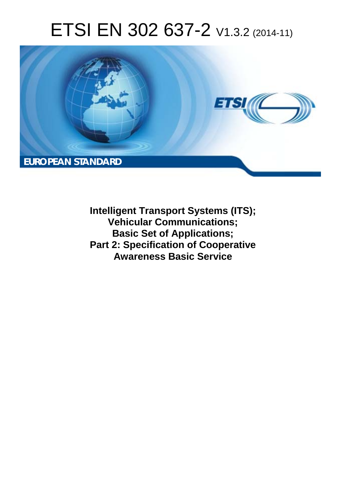# ETSI EN 302 637-2 V1.3.2 (2014-11)



**Intelligent Transport Systems (ITS); Vehicular Communications; Basic Set of Applications; Part 2: Specification of Cooperative Awareness Basic Service**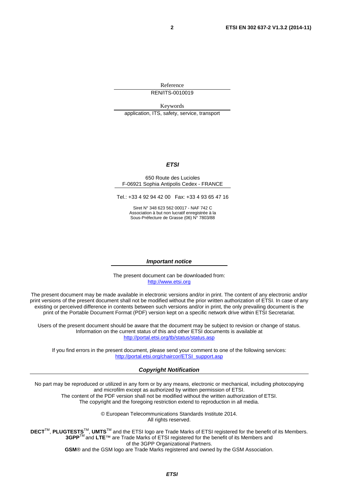Reference REN/ITS-0010019

Keywords application, ITS, safety, service, transport

#### *ETSI*

#### 650 Route des Lucioles F-06921 Sophia Antipolis Cedex - FRANCE

Tel.: +33 4 92 94 42 00 Fax: +33 4 93 65 47 16

Siret N° 348 623 562 00017 - NAF 742 C Association à but non lucratif enregistrée à la Sous-Préfecture de Grasse (06) N° 7803/88

#### *Important notice*

The present document can be downloaded from: [http://www.etsi.org](http://www.etsi.org/)

The present document may be made available in electronic versions and/or in print. The content of any electronic and/or print versions of the present document shall not be modified without the prior written authorization of ETSI. In case of any existing or perceived difference in contents between such versions and/or in print, the only prevailing document is the print of the Portable Document Format (PDF) version kept on a specific network drive within ETSI Secretariat.

Users of the present document should be aware that the document may be subject to revision or change of status. Information on the current status of this and other ETSI documents is available at <http://portal.etsi.org/tb/status/status.asp>

If you find errors in the present document, please send your comment to one of the following services: [http://portal.etsi.org/chaircor/ETSI\\_support.asp](http://portal.etsi.org/chaircor/ETSI_support.asp)

#### *Copyright Notification*

No part may be reproduced or utilized in any form or by any means, electronic or mechanical, including photocopying and microfilm except as authorized by written permission of ETSI.

The content of the PDF version shall not be modified without the written authorization of ETSI. The copyright and the foregoing restriction extend to reproduction in all media.

> © European Telecommunications Standards Institute 2014. All rights reserved.

**DECT**TM, **PLUGTESTS**TM, **UMTS**TM and the ETSI logo are Trade Marks of ETSI registered for the benefit of its Members. **3GPP**TM and **LTE**™ are Trade Marks of ETSI registered for the benefit of its Members and of the 3GPP Organizational Partners.

**GSM**® and the GSM logo are Trade Marks registered and owned by the GSM Association.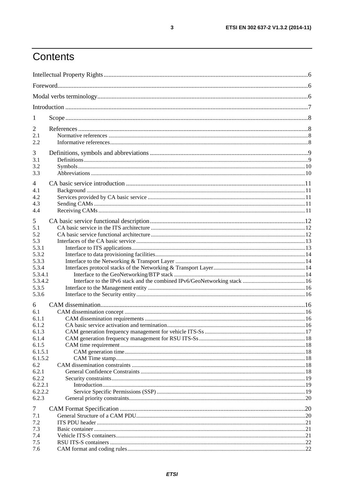## Contents

| 1                |  |  |  |
|------------------|--|--|--|
| 2                |  |  |  |
| 2.1<br>2.2       |  |  |  |
| 3                |  |  |  |
| 3.1              |  |  |  |
| 3.2              |  |  |  |
| 3.3              |  |  |  |
| 4                |  |  |  |
| 4.1              |  |  |  |
| 4.2              |  |  |  |
| 4.3              |  |  |  |
| 4.4              |  |  |  |
| 5                |  |  |  |
| 5.1              |  |  |  |
| 5.2              |  |  |  |
| 5.3              |  |  |  |
| 5.3.1            |  |  |  |
| 5.3.2            |  |  |  |
| 5.3.3            |  |  |  |
| 5.3.4            |  |  |  |
| 5.3.4.1          |  |  |  |
| 5.3.4.2          |  |  |  |
| 5.3.5            |  |  |  |
| 5.3.6            |  |  |  |
| 6                |  |  |  |
| 6.1              |  |  |  |
| 6.1.1            |  |  |  |
| 6.1.2            |  |  |  |
| 6.1.3            |  |  |  |
| 6.1.4            |  |  |  |
| 6.1.5            |  |  |  |
| 6.1.5.1          |  |  |  |
| 6.1.5.2          |  |  |  |
| 6.2              |  |  |  |
| 6.2.1            |  |  |  |
| 6.2.2<br>6.2.2.1 |  |  |  |
| 6.2.2.2          |  |  |  |
| 6.2.3            |  |  |  |
|                  |  |  |  |
| 7                |  |  |  |
| 7.1              |  |  |  |
| 7.2              |  |  |  |
| 7.3              |  |  |  |
| 7.4              |  |  |  |
| 7.5              |  |  |  |
| 7.6              |  |  |  |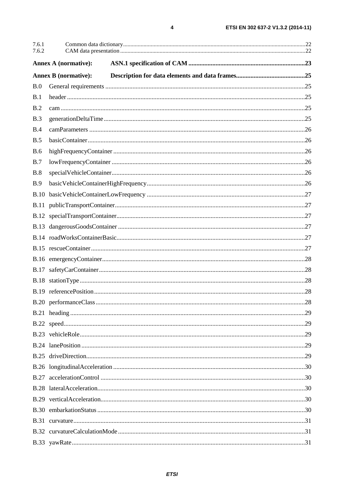| 7.6.1<br>7.6.2 |                             |  |
|----------------|-----------------------------|--|
|                | <b>Annex A (normative):</b> |  |
|                | <b>Annex B</b> (normative): |  |
| B.0            |                             |  |
| B.1            |                             |  |
| B.2            |                             |  |
| B.3            |                             |  |
| B.4            |                             |  |
| B.5            |                             |  |
| <b>B.6</b>     |                             |  |
| B.7            |                             |  |
| <b>B.8</b>     |                             |  |
| B.9            |                             |  |
| <b>B.10</b>    |                             |  |
|                |                             |  |
|                |                             |  |
|                |                             |  |
|                |                             |  |
|                |                             |  |
|                |                             |  |
|                |                             |  |
|                |                             |  |
|                |                             |  |
|                |                             |  |
|                |                             |  |
|                |                             |  |
|                |                             |  |
|                |                             |  |
|                |                             |  |
|                |                             |  |
|                |                             |  |
|                |                             |  |
|                |                             |  |
|                |                             |  |
|                |                             |  |
|                |                             |  |
|                |                             |  |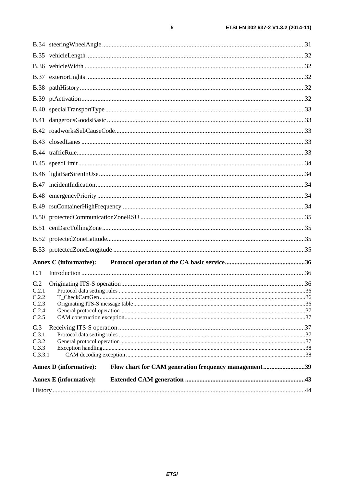|         | <b>Annex C</b> (informative):                                                         |     |
|---------|---------------------------------------------------------------------------------------|-----|
| C.1     |                                                                                       |     |
| C.2     |                                                                                       |     |
| C.2.1   |                                                                                       |     |
| C22     |                                                                                       | .36 |
| C.2.3   |                                                                                       |     |
| C.2.4   |                                                                                       |     |
| C.2.5   |                                                                                       |     |
| C.3     |                                                                                       |     |
| C.3.1   |                                                                                       |     |
| C.3.2   |                                                                                       |     |
| C.3.3   |                                                                                       |     |
| C.3.3.1 |                                                                                       |     |
|         | Flow chart for CAM generation frequency management39<br><b>Annex D</b> (informative): |     |
|         | <b>Annex E</b> (informative):                                                         |     |
|         |                                                                                       |     |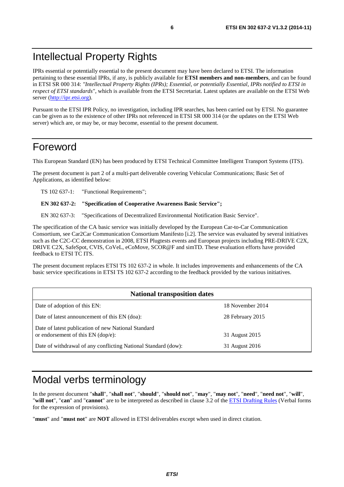### <span id="page-5-0"></span>Intellectual Property Rights

IPRs essential or potentially essential to the present document may have been declared to ETSI. The information pertaining to these essential IPRs, if any, is publicly available for **ETSI members and non-members**, and can be found in ETSI SR 000 314: *"Intellectual Property Rights (IPRs); Essential, or potentially Essential, IPRs notified to ETSI in respect of ETSI standards"*, which is available from the ETSI Secretariat. Latest updates are available on the ETSI Web server [\(http://ipr.etsi.org](http://webapp.etsi.org/IPR/home.asp)).

Pursuant to the ETSI IPR Policy, no investigation, including IPR searches, has been carried out by ETSI. No guarantee can be given as to the existence of other IPRs not referenced in ETSI SR 000 314 (or the updates on the ETSI Web server) which are, or may be, or may become, essential to the present document.

#### Foreword

This European Standard (EN) has been produced by ETSI Technical Committee Intelligent Transport Systems (ITS).

The present document is part 2 of a multi-part deliverable covering Vehicular Communications; Basic Set of Applications, as identified below:

TS 102 637-1: "Functional Requirements";

#### **EN 302 637-2: "Specification of Cooperative Awareness Basic Service";**

EN 302 637-3: "Specifications of Decentralized Environmental Notification Basic Service".

The specification of the CA basic service was initially developed by the European Car-to-Car Communication Consortium, see Car2Car Communication Consortium Manifesto [\[i.2](#page-7-0)]. The service was evaluated by several initiatives such as the C2C-CC demonstration in 2008, ETSI Plugtests events and European projects including PRE-DRIVE C2X, DRIVE C2X, SafeSpot, CVIS, CoVeL, eCoMove, SCOR@F and simTD. These evaluation efforts have provided feedback to ETSI TC ITS.

The present document replaces ETSI TS 102 637-2 in whole. It includes improvements and enhancements of the CA basic service specifications in ETSI TS 102 637-2 according to the feedback provided by the various initiatives.

| <b>National transposition dates</b>                                                       |                  |
|-------------------------------------------------------------------------------------------|------------------|
| Date of adoption of this EN:                                                              | 18 November 2014 |
| Date of latest announcement of this EN (doa):                                             | 28 February 2015 |
| Date of latest publication of new National Standard<br>or endorsement of this EN (dop/e): | 31 August 2015   |
| Date of withdrawal of any conflicting National Standard (dow):                            | 31 August 2016   |

#### Modal verbs terminology

In the present document "**shall**", "**shall not**", "**should**", "**should not**", "**may**", "**may not**", "**need**", "**need not**", "**will**", "**will not**", "**can**" and "**cannot**" are to be interpreted as described in clause 3.2 of the [ETSI Drafting Rules](http://portal.etsi.org/Help/editHelp!/Howtostart/ETSIDraftingRules.aspx) (Verbal forms for the expression of provisions).

"**must**" and "**must not**" are **NOT** allowed in ETSI deliverables except when used in direct citation.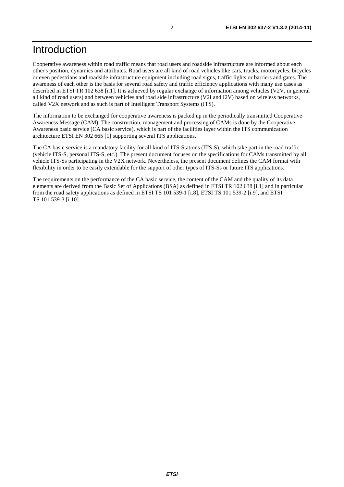### <span id="page-6-0"></span>Introduction

Cooperative awareness within road traffic means that road users and roadside infrastructure are informed about each other's position, dynamics and attributes. Road users are all kind of road vehicles like cars, trucks, motorcycles, bicycles or even pedestrians and roadside infrastructure equipment including road signs, traffic lights or barriers and gates. The awareness of each other is the basis for several road safety and traffic efficiency applications with many use cases as described in ETSI TR 102 638 [\[i.1](#page-7-0)]. It is achieved by regular exchange of information among vehicles (V2V, in general all kind of road users) and between vehicles and road side infrastructure (V2I and I2V) based on wireless networks, called V2X network and as such is part of Intelligent Transport Systems (ITS).

The information to be exchanged for cooperative awareness is packed up in the periodically transmitted Cooperative Awareness Message (CAM). The construction, management and processing of CAMs is done by the Cooperative Awareness basic service (CA basic service), which is part of the facilities layer within the ITS communication architecture ETSI EN 302 665 [\[1](#page-7-0)] supporting several ITS applications.

The CA basic service is a mandatory facility for all kind of ITS-Stations (ITS-S), which take part in the road traffic (vehicle ITS-S, personal ITS-S, etc.). The present document focuses on the specifications for CAMs transmitted by all vehicle ITS-Ss participating in the V2X network. Nevertheless, the present document defines the CAM format with flexibility in order to be easily extendable for the support of other types of ITS-Ss or future ITS applications.

The requirements on the performance of the CA basic service, the content of the CAM and the quality of its data elements are derived from the Basic Set of Applications (BSA) as defined in ETSI TR 102 638 [\[i.1](#page-7-0)] and in particular from the road safety applications as defined in ETSI TS 101 539-1 [\[i.8](#page-8-0)], ETSI TS 101 539-2 [\[i.9](#page-8-0)], and ETSI TS 101 539-3 [\[i.10](#page-8-0)].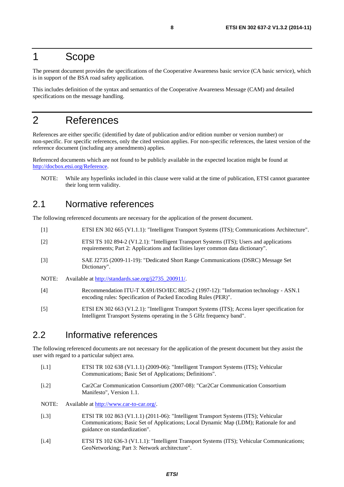#### <span id="page-7-0"></span>1 Scope

The present document provides the specifications of the Cooperative Awareness basic service (CA basic service), which is in support of the BSA road safety application.

This includes definition of the syntax and semantics of the Cooperative Awareness Message (CAM) and detailed specifications on the message handling.

### 2 References

References are either specific (identified by date of publication and/or edition number or version number) or non-specific. For specific references, only the cited version applies. For non-specific references, the latest version of the reference document (including any amendments) applies.

Referenced documents which are not found to be publicly available in the expected location might be found at <http://docbox.etsi.org/Reference>.

NOTE: While any hyperlinks included in this clause were valid at the time of publication, ETSI cannot guarantee their long term validity.

#### 2.1 Normative references

The following referenced documents are necessary for the application of the present document.

[1] ETSI EN 302 665 (V1.1.1): "Intelligent Transport Systems (ITS); Communications Architecture". [2] ETSI TS 102 894-2 (V1.2.1): "Intelligent Transport Systems (ITS); Users and applications requirements; Part 2: Applications and facilities layer common data dictionary". [3] SAE J2735 (2009-11-19): "Dedicated Short Range Communications (DSRC) Message Set Dictionary". NOTE: Available at [http://standards.sae.org/j2735\\_200911/](http://standards.sae.org/j2735_200911/). [4] Recommendation ITU-T X.691/ISO/IEC 8825-2 (1997-12): "Information technology - ASN.1 encoding rules: Specification of Packed Encoding Rules (PER)". [5] ETSI EN 302 663 (V1.2.1): "Intelligent Transport Systems (ITS); Access layer specification for Intelligent Transport Systems operating in the 5 GHz frequency band".

#### 2.2 Informative references

The following referenced documents are not necessary for the application of the present document but they assist the user with regard to a particular subject area.

- [i.1] ETSI TR 102 638 (V1.1.1) (2009-06): "Intelligent Transport Systems (ITS); Vehicular Communications; Basic Set of Applications; Definitions".
- [i.2] Car2Car Communication Consortium (2007-08): "Car2Car Communication Consortium Manifesto", Version 1.1.
- NOTE: Available at<http://www.car-to-car.org/>.
- [i.3] ETSI TR 102 863 (V1.1.1) (2011-06): "Intelligent Transport Systems (ITS); Vehicular Communications; Basic Set of Applications; Local Dynamic Map (LDM); Rationale for and guidance on standardization".
- [i.4] ETSI TS 102 636-3 (V1.1.1): "Intelligent Transport Systems (ITS); Vehicular Communications; GeoNetworking; Part 3: Network architecture".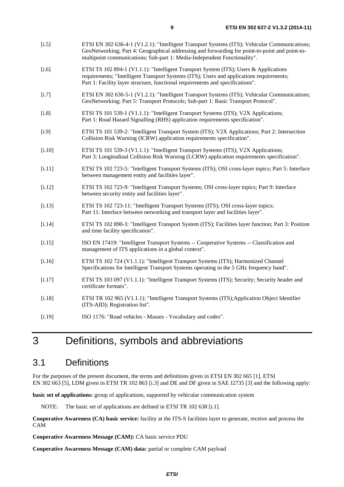<span id="page-8-0"></span>

| $[i.5]$  | ETSI EN 302 636-4-1 (V1.2.1): "Intelligent Transport Systems (ITS); Vehicular Communications;<br>GeoNetworking; Part 4: Geographical addressing and forwarding for point-to-point and point-to-<br>multipoint communications; Sub-part 1: Media-Independent Functionality". |
|----------|-----------------------------------------------------------------------------------------------------------------------------------------------------------------------------------------------------------------------------------------------------------------------------|
| $[1.6]$  | ETSI TS 102 894-1 (V1.1.1): "Intelligent Transport System (ITS); Users & Applications<br>requirements; "Intelligent Transport Systems (ITS); Users and applications requirements;<br>Part 1: Facility layer structure, functional requirements and specifications".         |
| $[1.7]$  | ETSI EN 302 636-5-1 (V1.2.1): "Intelligent Transport Systems (ITS); Vehicular Communications;<br>GeoNetworking; Part 5: Transport Protocols; Sub-part 1: Basic Transport Protocol".                                                                                         |
| $[1.8]$  | ETSI TS 101 539-1 (V1.1.1): "Intelligent Transport Systems (ITS); V2X Applications;<br>Part 1: Road Hazard Signalling (RHS) application requirements specification".                                                                                                        |
| $[1.9]$  | ETSI TS 101 539-2: "Intelligent Transport System (ITS); V2X Applications; Part 2: Intersection<br>Collision Risk Warning (ICRW) application requirements specification".                                                                                                    |
| $[1.10]$ | ETSI TS 101 539-3 (V1.1.1): "Intelligent Transport Systems (ITS); V2X Applications;<br>Part 3: Longitudinal Collision Risk Warning (LCRW) application requirements specification".                                                                                          |
| $[1.11]$ | ETSI TS 102 723-5: "Intelligent Transport Systems (ITS); OSI cross-layer topics; Part 5: Interface<br>between management entity and facilities layer".                                                                                                                      |
| [1.12]   | ETSI TS 102 723-9: "Intelligent Transport Systems; OSI cross-layer topics; Part 9: Interface<br>between security entity and facilities layer".                                                                                                                              |
| [i.13]   | ETSI TS 102 723-11: "Intelligent Transport Systems (ITS); OSI cross-layer topics;<br>Part 11: Interface between networking and transport layer and facilities layer".                                                                                                       |
| [1.14]   | ETSI TS 102 890-3: "Intelligent Transport System (ITS); Facilities layer function; Part 3: Position<br>and time facility specification".                                                                                                                                    |
| [i.15]   | ISO EN 17419: "Intelligent Transport Systems -- Cooperative Systems -- Classification and<br>management of ITS applications in a global context".                                                                                                                           |
| $[i.16]$ | ETSI TS 102 724 (V1.1.1): "Intelligent Transport Systems (ITS); Harmonized Channel<br>Specifications for Intelligent Transport Systems operating in the 5 GHz frequency band".                                                                                              |
| [1.17]   | ETSI TS 103 097 (V1.1.1): "Intelligent Transport Systems (ITS); Security; Security header and<br>certificate formats".                                                                                                                                                      |
| $[1.18]$ | ETSI TR 102 965 (V1.1.1): "Intelligent Transport Systems (ITS); Application Object Identifier<br>(ITS-AID); Registration list".                                                                                                                                             |
| [i.19]   | ISO 1176: "Road vehicles - Masses - Vocabulary and codes".                                                                                                                                                                                                                  |

## 3 Definitions, symbols and abbreviations

#### 3.1 Definitions

For the purposes of the present document, the terms and definitions given in ETSI EN 302 665 [\[1](#page-7-0)], ETSI EN 302 663 [\[5](#page-7-0)], LDM given in ETSI TR 102 863 [\[i.3](#page-7-0)] and DE and DF given in SAE J2735 [\[3](#page-7-0)] and the following apply:

**basic set of applications:** group of applications, supported by vehicular communication system

NOTE: The basic set of applications are defined in ETSI TR 102 638 [\[i.1](#page-7-0)].

**Cooperative Awareness (CA) basic service:** facility at the ITS-S facilities layer to generate, receive and process the CAM

**Cooperative Awareness Message (CAM):** CA basic service PDU

**Cooperative Awareness Message (CAM) data:** partial or complete CAM payload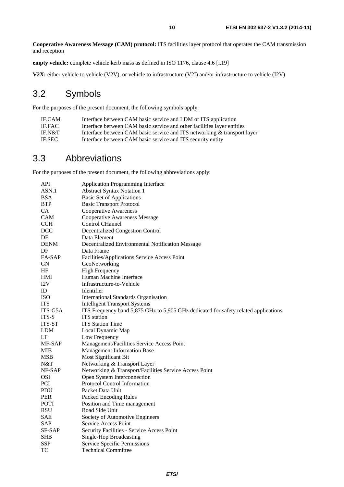<span id="page-9-0"></span>**empty vehicle:** complete vehicle kerb mass as defined in ISO 1176, clause 4.6 [\[i.19](#page-8-0)]

**V2X:** either vehicle to vehicle (V2V), or vehicle to infrastructure (V2I) and/or infrastructure to vehicle (I2V)

### 3.2 Symbols

For the purposes of the present document, the following symbols apply:

| <b>IF.CAM</b> | Interface between CAM basic service and LDM or ITS application           |
|---------------|--------------------------------------------------------------------------|
| IF.FAC        | Interface between CAM basic service and other facilities layer entities  |
| IF.N&T        | Interface between CAM basic service and ITS networking & transport layer |
| <b>IF.SEC</b> | Interface between CAM basic service and ITS security entity              |

#### 3.3 Abbreviations

For the purposes of the present document, the following abbreviations apply:

| API         | <b>Application Programming Interface</b>                                            |
|-------------|-------------------------------------------------------------------------------------|
| ASN.1       | <b>Abstract Syntax Notation 1</b>                                                   |
| <b>BSA</b>  | <b>Basic Set of Applications</b>                                                    |
| <b>BTP</b>  | <b>Basic Transport Protocol</b>                                                     |
| <b>CA</b>   | <b>Cooperative Awareness</b>                                                        |
| <b>CAM</b>  | <b>Cooperative Awareness Message</b>                                                |
| <b>CCH</b>  | <b>Control CHannel</b>                                                              |
| <b>DCC</b>  | <b>Decentralized Congestion Control</b>                                             |
| DE          | Data Element                                                                        |
| <b>DENM</b> | Decentralized Environmental Notification Message                                    |
| DF          | Data Frame                                                                          |
| FA-SAP      | Facilities/Applications Service Access Point                                        |
| <b>GN</b>   | GeoNetworking                                                                       |
| HF          | <b>High Frequency</b>                                                               |
| HMI         | Human Machine Interface                                                             |
| I2V         | Infrastructure-to-Vehicle                                                           |
| ID          | Identifier                                                                          |
| <b>ISO</b>  | <b>International Standards Organisation</b>                                         |
| <b>ITS</b>  | <b>Intelligent Transport Systems</b>                                                |
| ITS-G5A     | ITS Frequency band 5,875 GHz to 5,905 GHz dedicated for safety related applications |
| ITS-S       | <b>ITS</b> station                                                                  |
| ITS-ST      | <b>ITS</b> Station Time                                                             |
| <b>LDM</b>  | Local Dynamic Map                                                                   |
| LF          | Low Frequency                                                                       |
| MF-SAP      | Management/Facilities Service Access Point                                          |
| MIB         | Management Information Base                                                         |
| <b>MSB</b>  | Most Significant Bit                                                                |
| N&T         | Networking & Transport Layer                                                        |
| NF-SAP      | Networking & Transport/Facilities Service Access Point                              |
| <b>OSI</b>  | Open System Interconnection                                                         |
| <b>PCI</b>  | Protocol Control Information                                                        |
| <b>PDU</b>  | Packet Data Unit                                                                    |
| <b>PER</b>  | Packed Encoding Rules                                                               |
| <b>POTI</b> | Position and Time management                                                        |
| <b>RSU</b>  | Road Side Unit                                                                      |
| SAE         | Society of Automotive Engineers                                                     |
| <b>SAP</b>  | Service Access Point                                                                |
| SF-SAP      | Security Facilities - Service Access Point                                          |
| <b>SHB</b>  | Single-Hop Broadcasting                                                             |
| <b>SSP</b>  | Service Specific Permissions                                                        |
| TC          | <b>Technical Committee</b>                                                          |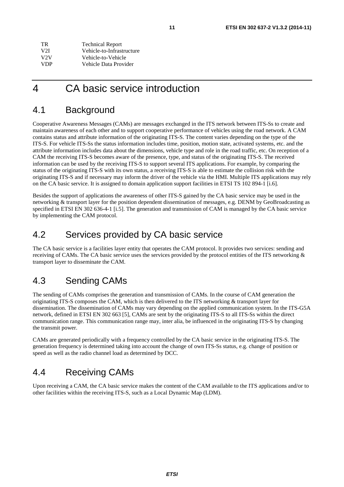<span id="page-10-0"></span>

| TR.        | <b>Technical Report</b>   |
|------------|---------------------------|
| V2I.       | Vehicle-to-Infrastructure |
| V2V        | Vehicle-to-Vehicle        |
| <b>VDP</b> | Vehicle Data Provider     |

### 4 CA basic service introduction

#### 4.1 Background

Cooperative Awareness Messages (CAMs) are messages exchanged in the ITS network between ITS-Ss to create and maintain awareness of each other and to support cooperative performance of vehicles using the road network. A CAM contains status and attribute information of the originating ITS-S. The content varies depending on the type of the ITS-S. For vehicle ITS-Ss the status information includes time, position, motion state, activated systems, etc. and the attribute information includes data about the dimensions, vehicle type and role in the road traffic, etc. On reception of a CAM the receiving ITS-S becomes aware of the presence, type, and status of the originating ITS-S. The received information can be used by the receiving ITS-S to support several ITS applications. For example, by comparing the status of the originating ITS-S with its own status, a receiving ITS-S is able to estimate the collision risk with the originating ITS-S and if necessary may inform the driver of the vehicle via the HMI. Multiple ITS applications may rely on the CA basic service. It is assigned to domain application support facilities in ETSI TS 102 894-1 [\[i.6](#page-8-0)].

Besides the support of applications the awareness of other ITS-S gained by the CA basic service may be used in the networking & transport layer for the position dependent dissemination of messages, e.g. DENM by GeoBroadcasting as specified in ETSI EN 302 636-4-1 [\[i.5](#page-8-0)]. The generation and transmission of CAM is managed by the CA basic service by implementing the CAM protocol.

#### 4.2 Services provided by CA basic service

The CA basic service is a facilities layer entity that operates the CAM protocol. It provides two services: sending and receiving of CAMs. The CA basic service uses the services provided by the protocol entities of the ITS networking & transport layer to disseminate the CAM.

#### 4.3 Sending CAMs

The sending of CAMs comprises the generation and transmission of CAMs. In the course of CAM generation the originating ITS-S composes the CAM, which is then delivered to the ITS networking & transport layer for dissemination. The dissemination of CAMs may vary depending on the applied communication system. In the ITS-G5A network, defined in ETSI EN 302 663 [\[5](#page-7-0)], CAMs are sent by the originating ITS-S to all ITS-Ss within the direct communication range. This communication range may, inter alia, be influenced in the originating ITS-S by changing the transmit power.

CAMs are generated periodically with a frequency controlled by the CA basic service in the originating ITS-S. The generation frequency is determined taking into account the change of own ITS-Ss status, e.g. change of position or speed as well as the radio channel load as determined by DCC.

#### 4.4 Receiving CAMs

Upon receiving a CAM, the CA basic service makes the content of the CAM available to the ITS applications and/or to other facilities within the receiving ITS-S, such as a Local Dynamic Map (LDM).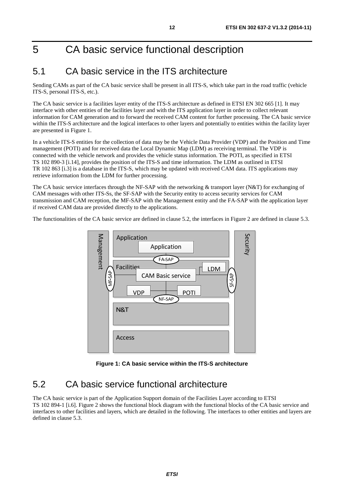## <span id="page-11-0"></span>5 CA basic service functional description

### 5.1 CA basic service in the ITS architecture

Sending CAMs as part of the CA basic service shall be present in all ITS-S, which take part in the road traffic (vehicle ITS-S, personal ITS-S, etc.).

The CA basic service is a facilities layer entity of the ITS-S architecture as defined in ETSI EN 302 665 [\[1](#page-7-0)]. It may interface with other entities of the facilities layer and with the ITS application layer in order to collect relevant information for CAM generation and to forward the received CAM content for further processing. The CA basic service within the ITS-S architecture and the logical interfaces to other layers and potentially to entities within the facility layer are presented in Figure 1.

In a vehicle ITS-S entities for the collection of data may be the Vehicle Data Provider (VDP) and the Position and Time management (POTI) and for received data the Local Dynamic Map (LDM) as receiving terminal. The VDP is connected with the vehicle network and provides the vehicle status information. The POTI, as specified in ETSI TS 102 890-3 [\[i.14](#page-8-0)], provides the position of the ITS-S and time information. The LDM as outlined in ETSI TR 102 863 [\[i.3](#page-7-0)] is a database in the ITS-S, which may be updated with received CAM data. ITS applications may retrieve information from the LDM for further processing.

The CA basic service interfaces through the NF-SAP with the networking & transport layer (N&T) for exchanging of CAM messages with other ITS-Ss, the SF-SAP with the Security entity to access security services for CAM transmission and CAM reception, the MF-SAP with the Management entity and the FA-SAP with the application layer if received CAM data are provided directly to the applications.

The functionalities of the CA basic service are defined in clause 5.2, the interfaces in [Figure 2](#page-12-0) are defined in clause 5.3.



**Figure 1: CA basic service within the ITS-S architecture** 

#### 5.2 CA basic service functional architecture

The CA basic service is part of the Application Support domain of the Facilities Layer according to ETSI TS 102 894-1 [\[i.6](#page-8-0)]. [Figure 2](#page-12-0) shows the functional block diagram with the functional blocks of the CA basic service and interfaces to other facilities and layers, which are detailed in the following. The interfaces to other entities and layers are defined in clause 5.3.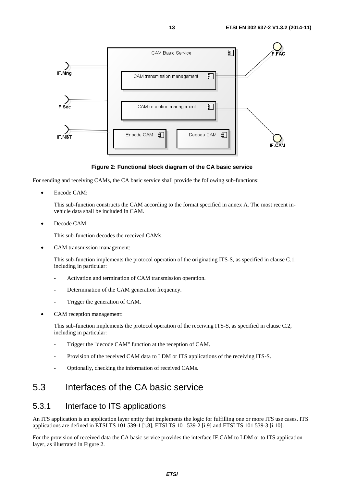<span id="page-12-0"></span>

#### **Figure 2: Functional block diagram of the CA basic service**

For sending and receiving CAMs, the CA basic service shall provide the following sub-functions:

Encode CAM:

 This sub-function constructs the CAM according to the format specified in annex A. The most recent invehicle data shall be included in CAM.

• Decode CAM:

This sub-function decodes the received CAMs.

• CAM transmission management:

 This sub-function implements the protocol operation of the originating ITS-S, as specified in clause C.1, including in particular:

- Activation and termination of CAM transmission operation.
- Determination of the CAM generation frequency.
- Trigger the generation of CAM.
- CAM reception management:

 This sub-function implements the protocol operation of the receiving ITS-S, as specified in clause C.2, including in particular:

- Trigger the "decode CAM" function at the reception of CAM.
- Provision of the received CAM data to LDM or ITS applications of the receiving ITS-S.
- Optionally, checking the information of received CAMs.

#### 5.3 Interfaces of the CA basic service

#### 5.3.1 Interface to ITS applications

An ITS application is an application layer entity that implements the logic for fulfilling one or more ITS use cases. ITS applications are defined in ETSI TS 101 539-1 [\[i.8](#page-8-0)], ETSI TS 101 539-2 [\[i.9](#page-8-0)] and ETSI TS 101 539-3 [\[i.10](#page-8-0)].

For the provision of received data the CA basic service provides the interface IF.CAM to LDM or to ITS application layer, as illustrated in Figure 2.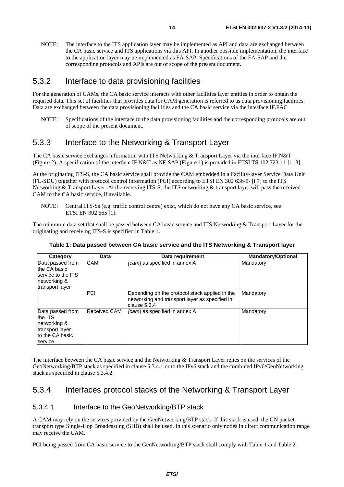<span id="page-13-0"></span>NOTE: The interface to the ITS application layer may be implemented as API and data are exchanged between the CA basic service and ITS applications via this API. In another possible implementation, the interface to the application layer may be implemented as FA-SAP. Specifications of the FA-SAP and the corresponding protocols and APIs are out of scope of the present document.

#### 5.3.2 Interface to data provisioning facilities

For the generation of CAMs, the CA basic service interacts with other facilities layer entities in order to obtain the required data. This set of facilities that provides data for CAM generation is referred to as data provisioning facilities. Data are exchanged between the data provisioning facilities and the CA basic service via the interface IF.FAC

NOTE: Specifications of the interface to the data provisioning facilities and the corresponding protocols are out of scope of the present document.

#### 5.3.3 Interface to the Networking & Transport Layer

The CA basic service exchanges information with ITS Networking & Transport Layer via the interface IF.N&T ([Figure 2](#page-12-0)). A specification of the interface IF.N&T as NF-SAP [\(Figure 1](#page-11-0)) is provided in ETSI TS 102 723-11 [\[i.13](#page-8-0)].

At the originating ITS-S, the CA basic service shall provide the CAM embedded in a Facility-layer Service Data Unit (FL-SDU) together with protocol control information (PCI) according to ETSI EN 302 636-5- [\[i.7](#page-8-0)] to the ITS Networking & Transport Layer. At the receiving ITS-S, the ITS networking & transport layer will pass the received CAM to the CA basic service, if available.

NOTE: Central ITS-Ss (e.g. traffic control centre) exist, which do not have any CA basic service, see ETSI EN 302 665 [\[1](#page-7-0)].

The minimum data set that shall be passed between CA basic service and ITS Networking & Transport Layer for the originating and receiving ITS-S is specified in Table 1.

| Category                                                                                     | Data                | Data requirement                                                                                                 | <b>Mandatory/Optional</b> |
|----------------------------------------------------------------------------------------------|---------------------|------------------------------------------------------------------------------------------------------------------|---------------------------|
| Data passed from<br>the CA basic<br>Iservice to the ITS<br>networking &<br>transport layer   | <b>CAM</b>          | {cam} as specified in annex A                                                                                    | Mandatory                 |
|                                                                                              | PCI                 | Depending on the protocol stack applied in the<br>networking and transport layer as specified in<br>clause 5.3.4 | Mandatory                 |
| Data passed from<br>the ITS<br>networking &<br>transport layer<br>to the CA basic<br>service | <b>Received CAM</b> | {cam} as specified in annex A                                                                                    | Mandatory                 |

#### **Table 1: Data passed between CA basic service and the ITS Networking & Transport layer**

The interface between the CA basic service and the Networking & Transport Layer relies on the services of the GeoNetworking/BTP stack as specified in clause 5.3.4.1 or to the IPv6 stack and the combined IPv6/GeoNetworking stack as specified in clause 5.3.4.2.

#### 5.3.4 Interfaces protocol stacks of the Networking & Transport Layer

#### 5.3.4.1 Interface to the GeoNetworking/BTP stack

A CAM may rely on the services provided by the GeoNetworking/BTP stack. If this stack is used, the GN packet transport type Single-Hop Broadcasting (SHB) shall be used. In this scenario only nodes in direct communication range may receive the CAM.

PCI being passed from CA basic service to the GeoNetworking/BTP stack shall comply with Table 1 and [Table 2](#page-14-0).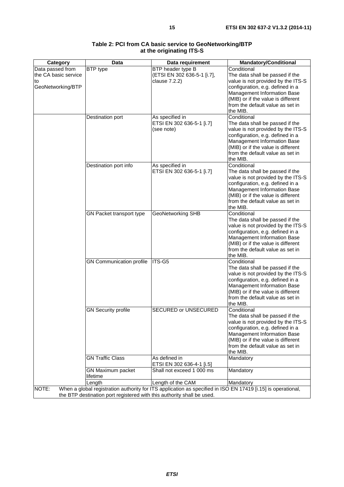<span id="page-14-0"></span>

| Category             | Data                                                                   | Data requirement            | <b>Mandatory/Conditional</b>                                                                                 |
|----------------------|------------------------------------------------------------------------|-----------------------------|--------------------------------------------------------------------------------------------------------------|
| Data passed from     | <b>BTP</b> type                                                        | BTP header type B           | Conditional                                                                                                  |
| the CA basic service |                                                                        | (ETSI EN 302 636-5-1 [i.7], | The data shall be passed if the                                                                              |
| to                   |                                                                        | clause 7.2.2)               | value is not provided by the ITS-S                                                                           |
|                      |                                                                        |                             |                                                                                                              |
| GeoNetworking/BTP    |                                                                        |                             | configuration, e.g. defined in a                                                                             |
|                      |                                                                        |                             | Management Information Base                                                                                  |
|                      |                                                                        |                             | (MIB) or if the value is different                                                                           |
|                      |                                                                        |                             | from the default value as set in                                                                             |
|                      |                                                                        |                             | the MIB.                                                                                                     |
|                      | Destination port                                                       | As specified in             | Conditional                                                                                                  |
|                      |                                                                        |                             |                                                                                                              |
|                      |                                                                        | ETSI EN 302 636-5-1 [i.7]   | The data shall be passed if the                                                                              |
|                      |                                                                        | (see note)                  | value is not provided by the ITS-S                                                                           |
|                      |                                                                        |                             | configuration, e.g. defined in a                                                                             |
|                      |                                                                        |                             | Management Information Base                                                                                  |
|                      |                                                                        |                             | (MIB) or if the value is different                                                                           |
|                      |                                                                        |                             | from the default value as set in                                                                             |
|                      |                                                                        |                             | the MIB.                                                                                                     |
|                      |                                                                        |                             |                                                                                                              |
|                      | Destination port info                                                  | As specified in             | Conditional                                                                                                  |
|                      |                                                                        | ETSI EN 302 636-5-1 [i.7]   | The data shall be passed if the                                                                              |
|                      |                                                                        |                             | value is not provided by the ITS-S                                                                           |
|                      |                                                                        |                             | configuration, e.g. defined in a                                                                             |
|                      |                                                                        |                             | Management Information Base                                                                                  |
|                      |                                                                        |                             | (MIB) or if the value is different                                                                           |
|                      |                                                                        |                             | from the default value as set in                                                                             |
|                      |                                                                        |                             |                                                                                                              |
|                      |                                                                        |                             | the MIB.                                                                                                     |
|                      | GN Packet transport type                                               | GeoNetworking SHB           | Conditional                                                                                                  |
|                      |                                                                        |                             | The data shall be passed if the                                                                              |
|                      |                                                                        |                             | value is not provided by the ITS-S                                                                           |
|                      |                                                                        |                             | configuration, e.g. defined in a                                                                             |
|                      |                                                                        |                             | Management Information Base                                                                                  |
|                      |                                                                        |                             |                                                                                                              |
|                      |                                                                        |                             | (MIB) or if the value is different                                                                           |
|                      |                                                                        |                             | from the default value as set in                                                                             |
|                      |                                                                        |                             | the MIB.                                                                                                     |
|                      | <b>GN Communication profile</b>                                        | ITS-G5                      | Conditional                                                                                                  |
|                      |                                                                        |                             | The data shall be passed if the                                                                              |
|                      |                                                                        |                             | value is not provided by the ITS-S                                                                           |
|                      |                                                                        |                             |                                                                                                              |
|                      |                                                                        |                             | configuration, e.g. defined in a                                                                             |
|                      |                                                                        |                             | Management Information Base                                                                                  |
|                      |                                                                        |                             | (MIB) or if the value is different                                                                           |
|                      |                                                                        |                             | from the default value as set in                                                                             |
|                      |                                                                        |                             | the MIB.                                                                                                     |
|                      | <b>GN Security profile</b>                                             | SECURED or UNSECURED        | Conditional                                                                                                  |
|                      |                                                                        |                             | The data shall be passed if the                                                                              |
|                      |                                                                        |                             |                                                                                                              |
|                      |                                                                        |                             | value is not provided by the ITS-S                                                                           |
|                      |                                                                        |                             | configuration, e.g. defined in a                                                                             |
|                      |                                                                        |                             | <b>Management Information Base</b>                                                                           |
|                      |                                                                        |                             | (MIB) or if the value is different                                                                           |
|                      |                                                                        |                             | from the default value as set in                                                                             |
|                      |                                                                        |                             | the MIB.                                                                                                     |
|                      | <b>GN Traffic Class</b>                                                | As defined in               |                                                                                                              |
|                      |                                                                        |                             | Mandatory                                                                                                    |
|                      |                                                                        | ETSI EN 302 636-4-1 [i.5]   |                                                                                                              |
|                      | GN Maximum packet                                                      | Shall not exceed 1 000 ms   | Mandatory                                                                                                    |
|                      | lifetime                                                               |                             |                                                                                                              |
|                      | Length                                                                 | Length of the CAM           | Mandatory                                                                                                    |
| NOTE:                |                                                                        |                             | When a global registration authority for ITS application as specified in ISO EN 17419 [i.15] is operational, |
|                      | the BTP destination port registered with this authority shall be used. |                             |                                                                                                              |

#### **Table 2: PCI from CA basic service to GeoNetworking/BTP at the originating ITS-S**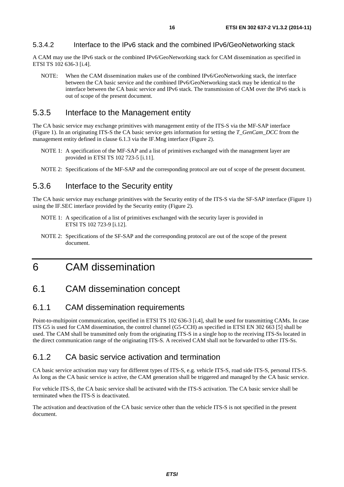<span id="page-15-0"></span>A CAM may use the IPv6 stack or the combined IPv6/GeoNetworking stack for CAM dissemination as specified in ETSI TS 102 636-3 [\[i.4](#page-7-0)].

NOTE: When the CAM dissemination makes use of the combined IPv6/GeoNetworking stack, the interface between the CA basic service and the combined IPv6/GeoNetworking stack may be identical to the interface between the CA basic service and IPv6 stack. The transmission of CAM over the IPv6 stack is out of scope of the present document.

#### 5.3.5 Interface to the Management entity

The CA basic service may exchange primitives with management entity of the ITS-S via the MF-SAP interface ([Figure 1](#page-11-0)). In an originating ITS-S the CA basic service gets information for setting the *T\_GenCam\_DCC* from the management entity defined in clause 6.1.3 via the IF.Mng interface [\(Figure 2](#page-12-0)).

- NOTE 1: A specification of the MF-SAP and a list of primitives exchanged with the management layer are provided in ETSI TS 102 723-5 [\[i.11](#page-8-0)].
- NOTE 2: Specifications of the MF-SAP and the corresponding protocol are out of scope of the present document.

#### 5.3.6 Interface to the Security entity

The CA basic service may exchange primitives with the Security entity of the ITS-S via the SF-SAP interface ([Figure 1](#page-11-0)) using the IF.SEC interface provided by the Security entity ([Figure 2\)](#page-12-0).

- NOTE 1: A specification of a list of primitives exchanged with the security layer is provided in ETSI TS 102 723-9 [\[i.12](#page-8-0)].
- NOTE 2: Specifications of the SF-SAP and the corresponding protocol are out of the scope of the present document.

### 6 CAM dissemination

#### 6.1 CAM dissemination concept

#### 6.1.1 CAM dissemination requirements

Point-to-multipoint communication, specified in ETSI TS 102 636-3 [\[i.4](#page-7-0)], shall be used for transmitting CAMs. In case ITS G5 is used for CAM dissemination, the control channel (G5-CCH) as specified in ETSI EN 302 663 [\[5](#page-7-0)] shall be used. The CAM shall be transmitted only from the originating ITS-S in a single hop to the receiving ITS-Ss located in the direct communication range of the originating ITS-S. A received CAM shall not be forwarded to other ITS-Ss.

#### 6.1.2 CA basic service activation and termination

CA basic service activation may vary for different types of ITS-S, e.g. vehicle ITS-S, road side ITS-S, personal ITS-S. As long as the CA basic service is active, the CAM generation shall be triggered and managed by the CA basic service.

For vehicle ITS-S, the CA basic service shall be activated with the ITS-S activation. The CA basic service shall be terminated when the ITS-S is deactivated.

The activation and deactivation of the CA basic service other than the vehicle ITS-S is not specified in the present document.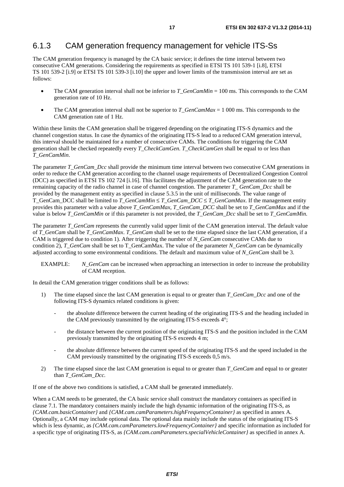#### <span id="page-16-0"></span>6.1.3 CAM generation frequency management for vehicle ITS-Ss

The CAM generation frequency is managed by the CA basic service; it defines the time interval between two consecutive CAM generations. Considering the requirements as specified in ETSI TS 101 539-1 [\[i.8](#page-8-0)], ETSI TS 101 539-2 [\[i.9](#page-8-0)] or ETSI TS 101 539-3 [\[i.10](#page-8-0)] the upper and lower limits of the transmission interval are set as follows:

- The CAM generation interval shall not be inferior to *T\_GenCamMin* = 100 ms. This corresponds to the CAM generation rate of 10 Hz.
- The CAM generation interval shall not be superior to *T\_GenCamMax* = 1 000 ms. This corresponds to the CAM generation rate of 1 Hz.

Within these limits the CAM generation shall be triggered depending on the originating ITS-S dynamics and the channel congestion status. In case the dynamics of the originating ITS-S lead to a reduced CAM generation interval, this interval should be maintained for a number of consecutive CAMs. The conditions for triggering the CAM generation shall be checked repeatedly every *T\_CheckCamGen. T\_CheckCamGen* shall be equal to or less than *T\_GenCamMin*.

The parameter *T\_GenCam\_Dcc* shall provide the minimum time interval between two consecutive CAM generations in order to reduce the CAM generation according to the channel usage requirements of Decentralized Congestion Control (DCC) as specified in ETSI TS 102 724 [\[i.16](#page-8-0)]. This facilitates the adjustment of the CAM generation rate to the remaining capacity of the radio channel in case of channel congestion. The parameter *T\_ GenCam\_Dcc* shall be provided by the management entity as specified in clause 5.3.5 in the unit of milliseconds. The value range of T\_GenCam\_DCC shall be limited to *T\_GenCamMin* ≤ *T\_GenCam\_DCC* ≤ *T\_GenCamMax*. If the management entity provides this parameter with a value above *T\_GenCamMax*, *T\_GenCam\_DCC* shall be set to *T\_GenCamMax* and if the value is below *T\_GenCamMin* or if this parameter is not provided, the *T\_GenCam\_Dcc* shall be set to *T\_GenCamMin.*

The parameter *T\_GenCam* represents the currently valid upper limit of the CAM generation interval. The default value of *T\_GenCam* shall be *T\_GenCamMax*. *T\_GenCam* shall be set to the time elapsed since the last CAM generation, if a CAM is triggered due to condition 1). After triggering the number of *N\_GenCam* consecutive CAMs due to condition 2), *T\_GenCam* shall be set to T\_GenCamMax. The value of the parameter *N\_GenCam* can be dynamically adjusted according to some environmental conditions. The default and maximum value of *N\_GenCam* shall be 3.

EXAMPLE: *N\_GenCam* can be increased when approaching an intersection in order to increase the probability of CAM reception.

In detail the CAM generation trigger conditions shall be as follows:

- 1) The time elapsed since the last CAM generation is equal to or greater than *T\_GenCam\_Dcc* and one of the following ITS-S dynamics related conditions is given:
	- the absolute difference between the current heading of the originating ITS-S and the heading included in the CAM previously transmitted by the originating ITS-S exceeds 4°;
	- the distance between the current position of the originating ITS-S and the position included in the CAM previously transmitted by the originating ITS-S exceeds 4 m;
	- the absolute difference between the current speed of the originating ITS-S and the speed included in the CAM previously transmitted by the originating ITS-S exceeds 0,5 m/s.
- 2) The time elapsed since the last CAM generation is equal to or greater than *T\_GenCam* and equal to or greater than *T\_GenCam\_Dcc.*

If one of the above two conditions is satisfied, a CAM shall be generated immediately.

When a CAM needs to be generated, the CA basic service shall construct the mandatory containers as specified in clause 7.1. The mandatory containers mainly include the high dynamic information of the originating ITS-S, as *{CAM.cam.basicContainer}* and *{CAM.cam.camParameters.highFrequencyContainer}* as specified in annex A. Optionally, a CAM may include optional data. The optional data mainly include the status of the originating ITS-S which is less dynamic, as *{CAM.cam.camParameters.lowFrequencyContainer}* and specific information as included for a specific type of originating ITS-S, as *{CAM.cam.camParameters.specialVehicleContainer}* as specified in annex A.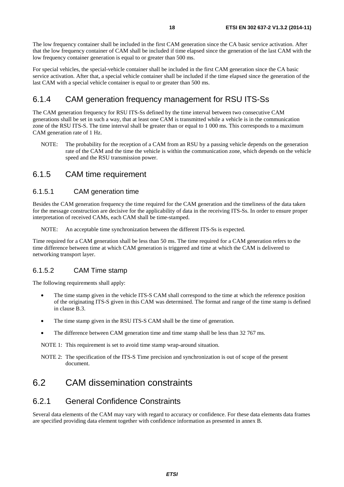<span id="page-17-0"></span>The low frequency container shall be included in the first CAM generation since the CA basic service activation. After that the low frequency container of CAM shall be included if time elapsed since the generation of the last CAM with the low frequency container generation is equal to or greater than 500 ms.

For special vehicles, the special-vehicle container shall be included in the first CAM generation since the CA basic service activation. After that, a special vehicle container shall be included if the time elapsed since the generation of the last CAM with a special vehicle container is equal to or greater than 500 ms.

#### 6.1.4 CAM generation frequency management for RSU ITS-Ss

The CAM generation frequency for RSU ITS-Ss defined by the time interval between two consecutive CAM generations shall be set in such a way, that at least one CAM is transmitted while a vehicle is in the communication zone of the RSU ITS-S. The time interval shall be greater than or equal to 1 000 ms. This corresponds to a maximum CAM generation rate of 1 Hz.

NOTE: The probability for the reception of a CAM from an RSU by a passing vehicle depends on the generation rate of the CAM and the time the vehicle is within the communication zone, which depends on the vehicle speed and the RSU transmission power.

#### 6.1.5 CAM time requirement

#### 6.1.5.1 CAM generation time

Besides the CAM generation frequency the time required for the CAM generation and the timeliness of the data taken for the message construction are decisive for the applicability of data in the receiving ITS-Ss. In order to ensure proper interpretation of received CAMs, each CAM shall be time-stamped.

NOTE: An acceptable time synchronization between the different ITS-Ss is expected.

Time required for a CAM generation shall be less than 50 ms. The time required for a CAM generation refers to the time difference between time at which CAM generation is triggered and time at which the CAM is delivered to networking transport layer.

#### 6.1.5.2 CAM Time stamp

The following requirements shall apply:

- The time stamp given in the vehicle ITS-S CAM shall correspond to the time at which the reference position of the originating ITS-S given in this CAM was determined. The format and range of the time stamp is defined in clause B.3.
- The time stamp given in the RSU ITS-S CAM shall be the time of generation.
- The difference between CAM generation time and time stamp shall be less than 32 767 ms.

NOTE 1: This requirement is set to avoid time stamp wrap-around situation.

NOTE 2: The specification of the ITS-S Time precision and synchronization is out of scope of the present document.

#### 6.2 CAM dissemination constraints

#### 6.2.1 General Confidence Constraints

Several data elements of the CAM may vary with regard to accuracy or confidence. For these data elements data frames are specified providing data element together with confidence information as presented in annex B.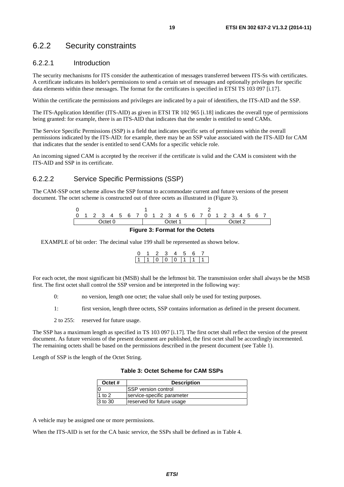#### <span id="page-18-0"></span>6.2.2 Security constraints

#### 6.2.2.1 Introduction

The security mechanisms for ITS consider the authentication of messages transferred between ITS-Ss with certificates. A certificate indicates its holder's permissions to send a certain set of messages and optionally privileges for specific data elements within these messages. The format for the certificates is specified in ETSI TS 103 097 [\[i.17](#page-8-0)].

Within the certificate the permissions and privileges are indicated by a pair of identifiers, the ITS-AID and the SSP.

The ITS-Application Identifier (ITS-AID) as given in ETSI TR 102 965 [\[i.18](#page-8-0)] indicates the overall type of permissions being granted: for example, there is an ITS-AID that indicates that the sender is entitled to send CAMs.

The Service Specific Permissions (SSP) is a field that indicates specific sets of permissions within the overall permissions indicated by the ITS-AID: for example, there may be an SSP value associated with the ITS-AID for CAM that indicates that the sender is entitled to send CAMs for a specific vehicle role.

An incoming signed CAM is accepted by the receiver if the certificate is valid and the CAM is consistent with the ITS-AID and SSP in its certificate.

#### 6.2.2.2 Service Specific Permissions (SSP)

The CAM-SSP octet scheme allows the SSP format to accommodate current and future versions of the present document. The octet scheme is constructed out of three octets as illustrated in (Figure 3).



#### **Figure 3: Format for the Octets**

EXAMPLE of bit order: The decimal value 199 shall be represented as shown below.

|   | - 2 | - 2 |                |  |  |
|---|-----|-----|----------------|--|--|
| Ŀ |     |     | 11 10 10 10 11 |  |  |

For each octet, the most significant bit (MSB) shall be the leftmost bit. The transmission order shall always be the MSB first. The first octet shall control the SSP version and be interpreted in the following way:

0: no version, length one octet; the value shall only be used for testing purposes.

1: first version, length three octets, SSP contains information as defined in the present document.

2 to 255: reserved for future usage.

The SSP has a maximum length as specified in TS 103 097 [\[i.17](#page-8-0)]. The first octet shall reflect the version of the present document. As future versions of the present document are published, the first octet shall be accordingly incremented. The remaining octets shall be based on the permissions described in the present document (see Table 1).

Length of SSP is the length of the Octet String.

**Table 3: Octet Scheme for CAM SSPs** 

| Octet #  | <b>Description</b>          |  |  |
|----------|-----------------------------|--|--|
|          | <b>ISSP</b> version control |  |  |
| 1 to $2$ | service-specific parameter  |  |  |
| 3 to 30  | reserved for future usage   |  |  |

A vehicle may be assigned one or more permissions.

When the ITS-AID is set for the CA basic service, the SSPs shall be defined as in [Table 4](#page-19-0).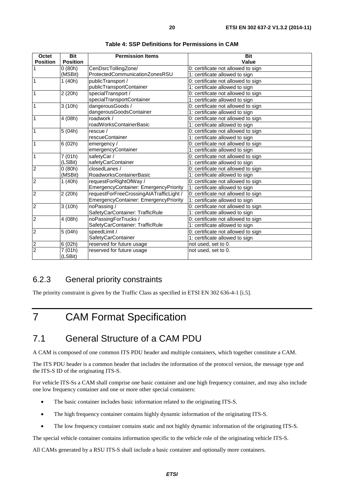<span id="page-19-0"></span>

| Octet           | <b>Bit</b>      | <b>Permission Items</b>                      | <b>Bit</b>                         |
|-----------------|-----------------|----------------------------------------------|------------------------------------|
| <b>Position</b> | <b>Position</b> |                                              | Value                              |
|                 | 0(80h)          | CenDsrcTollingZone/                          | 0: certificate not allowed to sign |
|                 | (MSBit)         | ProtectedCommunicationZonesRSU               | 1: certificate allowed to sign     |
| 1               | 1(40h)          | publicTransport /                            | 0: certificate not allowed to sign |
|                 |                 | publicTransportContainer                     | 1: certificate allowed to sign     |
| 1               | 2 (20h)         | specialTransport /                           | 0: certificate not allowed to sign |
|                 |                 | specialTransportContainer                    | 1: certificate allowed to sign     |
| 1               | 3(10h)          | dangerousGoods /                             | 0: certificate not allowed to sign |
|                 |                 | dangerousGoodsContainer                      | 1: certificate allowed to sign     |
| 1               | 4 (08h)         | roadwork /                                   | 0: certificate not allowed to sign |
|                 |                 | roadWorksContainerBasic                      | 1: certificate allowed to sign     |
| 1               | 5(04h)          | rescue /                                     | 0: certificate not allowed to sign |
|                 |                 | rescueContainer                              | 1: certificate allowed to sign     |
| 1               | 6(02h)          | emergency/                                   | 0: certificate not allowed to sign |
|                 |                 | emergencyContainer                           | 1: certificate allowed to sign     |
| 1               | 7(01h)          | safetyCar /                                  | 0: certificate not allowed to sign |
|                 | (LSBit)         | safetyCarContainer                           | 1: certificate allowed to sign     |
| $\overline{c}$  | 0(80h)          | closedLanes /                                | 0: certificate not allowed to sign |
|                 | (MSBit)         | RoadworksContainerBasic                      | 1: certificate allowed to sign     |
| $\overline{c}$  | 1(40h)          | requestForRightOfWay /                       | 0: certificate not allowed to sign |
|                 |                 | <b>EmergencyContainer: EmergencyPriority</b> | 1: certificate allowed to sign     |
| 2               | 2 (20h)         | requestForFreeCrossingAtATrafficLight /      | 0: certificate not allowed to sign |
|                 |                 | <b>EmergencyContainer: EmergencyPriority</b> | 1: certificate allowed to sign     |
| $\overline{2}$  | 3(10h)          | noPassing /                                  | 0: certificate not allowed to sign |
|                 |                 | SafetyCarContainer: TrafficRule              | 1: certificate allowed to sign     |
| 2               | 4 (08h)         | noPassingForTrucks /                         | 0: certificate not allowed to sign |
|                 |                 | SafetyCarContainer: TrafficRule              | 1: certificate allowed to sign     |
| $\overline{c}$  | 5(04h)          | speedLimit /                                 | 0: certificate not allowed to sign |
|                 |                 | SafetyCarContainer                           | 1: certificate allowed to sign     |
| 2               | 6(02h)          | reserved for future usage                    | not used, set to 0.                |
| $\overline{2}$  | 7(01h)          | reserved for future usage                    | not used, set to 0.                |
|                 | (LSBit)         |                                              |                                    |

**Table 4: SSP Definitions for Permissions in CAM** 

#### 6.2.3 General priority constraints

The priority constraint is given by the Traffic Class as specified in ETSI EN 302 636-4-1 [\[i.5](#page-8-0)].

7 CAM Format Specification

#### 7.1 General Structure of a CAM PDU

A CAM is composed of one common ITS PDU header and multiple containers, which together constitute a CAM.

The ITS PDU header is a common header that includes the information of the protocol version, the message type and the ITS-S ID of the originating ITS-S.

For vehicle ITS-Ss a CAM shall comprise one basic container and one high frequency container, and may also include one low frequency container and one or more other special containers:

- The basic container includes basic information related to the originating ITS-S.
- The high frequency container contains highly dynamic information of the originating ITS-S.
- The low frequency container contains static and not highly dynamic information of the originating ITS-S.

The special vehicle container contains information specific to the vehicle role of the originating vehicle ITS-S.

All CAMs generated by a RSU ITS-S shall include a basic container and optionally more containers.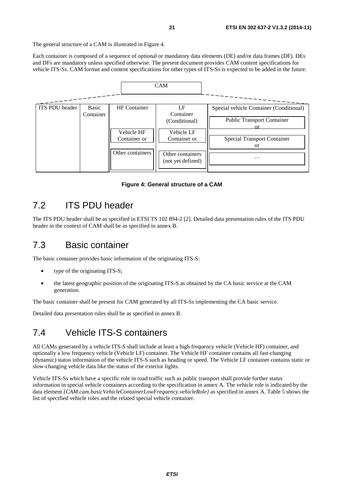<span id="page-20-0"></span>The general structure of a CAM is illustrated in Figure 4.

Each container is composed of a sequence of optional or mandatory data elements (DE) and/or data frames (DF). DEs and DFs are mandatory unless specified otherwise. The present document provides CAM content specifications for vehicle ITS-Ss. CAM format and content specifications for other types of ITS-Ss is expected to be added in the future.



#### **Figure 4: General structure of a CAM**

#### 7.2 ITS PDU header

The ITS PDU header shall be as specified in ETSI TS 102 894-2 [\[2](#page-7-0)]. Detailed data presentation rules of the ITS PDU header in the context of CAM shall be as specified in annex B.

#### 7.3 Basic container

The basic container provides basic information of the originating ITS-S:

- type of the originating ITS-S:
- the latest geographic position of the originating ITS-S as obtained by the CA basic service at the CAM generation.

The basic container shall be present for CAM generated by all ITS-Ss implementing the CA basic service.

Detailed data presentation rules shall be as specified in annex B.

#### 7.4 Vehicle ITS-S containers

All CAMs generated by a vehicle ITS-S shall include at least a high frequency vehicle (Vehicle HF) container, and optionally a low frequency vehicle (Vehicle LF) container. The Vehicle HF container contains all fast-changing (dynamic) status information of the vehicle ITS-S such as heading or speed. The Vehicle LF container contains static or slow-changing vehicle data like the status of the exterior lights.

Vehicle ITS-Ss which have a specific role in road traffic such as public transport shall provide further status information in special vehicle containers according to the specification in annex A. The vehicle role is indicated by the data element *{CAM.cam.basicVehicleContainerLowFrequency.vehicleRole}* as specified in annex A. [Table 5](#page-21-0) shows the list of specified vehicle roles and the related special vehicle container.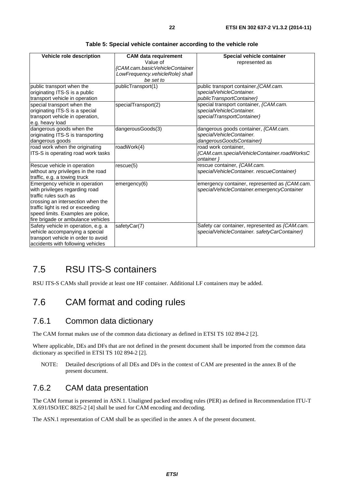<span id="page-21-0"></span>

| Vehicle role description                                                                                                                                                                                                                        | <b>CAM data requirement</b><br>Value of<br>{CAM.cam.basicVehicleContainer<br>LowFrequency.vehicleRole} shall<br>be set to | Special vehicle container<br>represented as                                                      |
|-------------------------------------------------------------------------------------------------------------------------------------------------------------------------------------------------------------------------------------------------|---------------------------------------------------------------------------------------------------------------------------|--------------------------------------------------------------------------------------------------|
| public transport when the<br>originating ITS-S is a public<br>transport vehicle in operation                                                                                                                                                    | publicTransport(1)                                                                                                        | public transport container, {CAM.cam.<br>specialVehicleContainer.<br>publicTransportContainer}   |
| special transport when the<br>originating ITS-S is a special<br>transport vehicle in operation,<br>e.g. heavy load                                                                                                                              | specialTransport(2)                                                                                                       | special transport container, {CAM.cam.<br>specialVehicleContainer.<br>specialTransportContainer} |
| dangerous goods when the<br>originating ITS-S is transporting<br>dangerous goods                                                                                                                                                                | dangerousGoods(3)                                                                                                         | dangerous goods container, {CAM.cam.<br>specialVehicleContainer.<br>dangerousGoodsContainer}     |
| road work when the originating<br>ITS-S is operating road work tasks                                                                                                                                                                            | roadWork(4)                                                                                                               | road work container,<br>{CAM.cam.specialVehicleContainer.roadWorksC<br>ontainer }                |
| Rescue vehicle in operation<br>without any privileges in the road<br>traffic, e.g. a towing truck                                                                                                                                               | rescue(5)                                                                                                                 | rescue container, {CAM.cam.<br>specialVehicleContainer. rescueContainer}                         |
| Emergency vehicle in operation<br>with privileges regarding road<br>traffic rules such as<br>crossing an intersection when the<br>traffic light is red or exceeding<br>speed limits. Examples are police,<br>fire brigade or ambulance vehicles | emergency(6)                                                                                                              | emergency container, represented as {CAM.cam.<br>specialVehicleContainer.emergencyContainer      |
| Safety vehicle in operation, e.g. a<br>vehicle accompanying a special<br>transport vehicle in order to avoid<br>accidents with following vehicles                                                                                               | safetyCar(7)                                                                                                              | Safety car container, represented as {CAM.cam.<br>specialVehicleContainer. safetyCarContainer}   |

**Table 5: Special vehicle container according to the vehicle role** 

### 7.5 RSU ITS-S containers

RSU ITS-S CAMs shall provide at least one HF container. Additional LF containers may be added.

### 7.6 CAM format and coding rules

#### 7.6.1 Common data dictionary

The CAM format makes use of the common data dictionary as defined in ETSI TS 102 894-2 [\[2](#page-7-0)].

Where applicable, DEs and DFs that are not defined in the present document shall be imported from the common data dictionary as specified in ETSI TS 102 894-2 [\[2](#page-7-0)].

NOTE: Detailed descriptions of all DEs and DFs in the context of CAM are presented in the annex B of the present document.

#### 7.6.2 CAM data presentation

The CAM format is presented in ASN.1. Unaligned packed encoding rules (PER) as defined in Recommendation ITU-T X.691/ISO/IEC 8825-2 [\[4](#page-7-0)] shall be used for CAM encoding and decoding.

The ASN.1 representation of CAM shall be as specified in the annex A of the present document.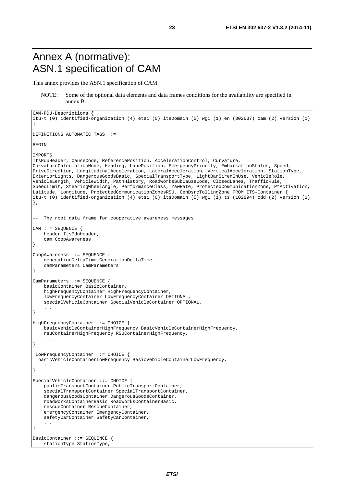### <span id="page-22-0"></span>Annex A (normative): ASN.1 specification of CAM

This annex provides the ASN.1 specification of CAM.

#### NOTE: Some of the optional data elements and data frames conditions for the availability are specified in annex B.

```
CAM-PDU-Descriptions { 
itu-t (0) identified-organization (4) etsi (0) itsDomain (5) wg1 (1) en (302637) cam (2) version (1) 
} 
DEFINITIONS AUTOMATIC TAGS ::= 
BEGIN 
IMPORTS 
ItsPduHeader, CauseCode, ReferencePosition, AccelerationControl, Curvature, 
CurvatureCalculationMode, Heading, LanePosition, EmergencyPriority, EmbarkationStatus, Speed, 
DriveDirection, LongitudinalAcceleration, LateralAcceleration, VerticalAcceleration, StationType, 
ExteriorLights, DangerousGoodsBasic, SpecialTransportType, LightBarSirenInUse, VehicleRole, 
VehicleLength, VehicleWidth, PathHistory, RoadworksSubCauseCode, ClosedLanes, TrafficRule, 
SpeedLimit, SteeringWheelAngle, PerformanceClass, YawRate, ProtectedCommunicationZone, PtActivation, 
Latitude, Longitude, ProtectedCommunicationZonesRSU, CenDsrcTollingZone FROM ITS-Container { 
itu-t (0) identified-organization (4) etsi (0) itsDomain (5) wg1 (1) ts (102894) cdd (2) version (1) 
}; 
-- The root data frame for cooperative awareness messages 
CAM ::= SEQUENCE { 
    header ItsPduHeader, 
     cam CoopAwareness 
} 
CoopAwareness ::= SEQUENCE { 
     generationDeltaTime GenerationDeltaTime, 
     camParameters CamParameters 
} 
CamParameters ::= SEQUENCE { 
    basicContainer BasicContainer, 
     highFrequencyContainer HighFrequencyContainer, 
     lowFrequencyContainer LowFrequencyContainer OPTIONAL, 
     specialVehicleContainer SpecialVehicleContainer OPTIONAL, 
 ... 
} 
HighFrequencyContainer ::= CHOICE { 
    basicVehicleContainerHighFrequency BasicVehicleContainerHighFrequency, 
     rsuContainerHighFrequency RSUContainerHighFrequency, 
     ... 
} 
 LowFrequencyContainer ::= CHOICE { 
   basicVehicleContainerLowFrequency BasicVehicleContainerLowFrequency, 
     ... 
} 
SpecialVehicleContainer ::= CHOICE { 
     publicTransportContainer PublicTransportContainer, 
     specialTransportContainer SpecialTransportContainer, 
     dangerousGoodsContainer DangerousGoodsContainer, 
     roadWorksContainerBasic RoadWorksContainerBasic, 
     rescueContainer RescueContainer, 
     emergencyContainer EmergencyContainer, 
     safetyCarContainer SafetyCarContainer, 
 ... 
} 
BasicContainer ::= SEQUENCE { 
     stationType StationType,
```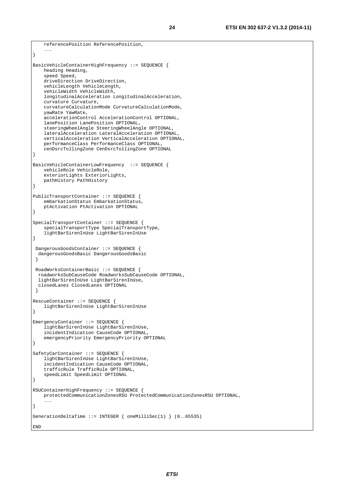```
 ... 
} 
BasicVehicleContainerHighFrequency ::= SEQUENCE { 
    heading Heading, 
     speed Speed, 
     driveDirection DriveDirection, 
     vehicleLength VehicleLength, 
     vehicleWidth VehicleWidth, 
     longitudinalAcceleration LongitudinalAcceleration, 
     curvature Curvature, 
     curvatureCalculationMode CurvatureCalculationMode, 
     yawRate YawRate, 
     accelerationControl AccelerationControl OPTIONAL, 
     lanePosition LanePosition OPTIONAL, 
     steeringWheelAngle SteeringWheelAngle OPTIONAL, 
     lateralAcceleration LateralAcceleration OPTIONAL, 
     verticalAcceleration VerticalAcceleration OPTIONAL, 
     performanceClass PerformanceClass OPTIONAL, 
     cenDsrcTollingZone CenDsrcTollingZone OPTIONAL 
} 
BasicVehicleContainerLowFrequency ::= SEQUENCE { 
     vehicleRole VehicleRole, 
     exteriorLights ExteriorLights, 
    pathHistory PathHistory 
} 
PublicTransportContainer ::= SEQUENCE { 
     embarkationStatus EmbarkationStatus, 
    ptActivation PtActivation OPTIONAL 
} 
SpecialTransportContainer ::= SEQUENCE { 
     specialTransportType SpecialTransportType, 
     lightBarSirenInUse LightBarSirenInUse 
} 
 DangerousGoodsContainer ::= SEQUENCE { 
   dangerousGoodsBasic DangerousGoodsBasic 
  } 
 RoadWorksContainerBasic ::= SEQUENCE { 
   roadworksSubCauseCode RoadworksSubCauseCode OPTIONAL, 
   lightBarSirenInUse LightBarSirenInUse, 
   closedLanes ClosedLanes OPTIONAL 
  } 
RescueContainer ::= SEQUENCE { 
     lightBarSirenInUse LightBarSirenInUse 
} 
EmergencyContainer ::= SEQUENCE { 
     lightBarSirenInUse LightBarSirenInUse, 
     incidentIndication CauseCode OPTIONAL, 
     emergencyPriority EmergencyPriority OPTIONAL 
} 
SafetyCarContainer ::= SEQUENCE { 
     lightBarSirenInUse LightBarSirenInUse, 
     incidentIndication CauseCode OPTIONAL, 
     trafficRule TrafficRule OPTIONAL, 
     speedLimit SpeedLimit OPTIONAL 
} 
RSUContainerHighFrequency ::= SEOUENCE {
    protectedCommunicationZonesRSU ProtectedCommunicationZonesRSU OPTIONAL, 
     ... 
} 
GenerationDeltaTime ::= INTEGER { oneMilliSec(1) } (0..65535) 
END
```
referencePosition ReferencePosition,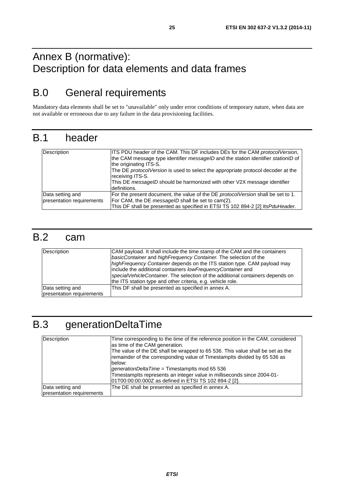### <span id="page-24-0"></span>Annex B (normative): Description for data elements and data frames

## B.0 General requirements

Mandatory data elements shall be set to "unavailable" only under error conditions of temporary nature, when data are not available or erroneous due to any failure in the data provisioning facilities.

### B.1 header

| Description               | ITS PDU header of the CAM. This DF includes DEs for the CAM protocolVersion,<br>the CAM message type identifier <i>messageID</i> and the station identifier <i>stationID</i> of<br>the originating ITS-S.<br>The DE protocolVersion is used to select the appropriate protocol decoder at the<br>receiving ITS-S. |
|---------------------------|-------------------------------------------------------------------------------------------------------------------------------------------------------------------------------------------------------------------------------------------------------------------------------------------------------------------|
|                           | This DE messageID should be harmonized with other V2X message identifier<br>definitions.                                                                                                                                                                                                                          |
| Data setting and          | For the present document, the value of the DE protocolVersion shall be set to 1.                                                                                                                                                                                                                                  |
| presentation requirements | For CAM, the DE messageID shall be set to cam(2).                                                                                                                                                                                                                                                                 |
|                           | This DF shall be presented as specified in ETSI TS 102 894-2 [2] ItsPduHeader.                                                                                                                                                                                                                                    |

### B.2 cam

| Description                                   | CAM payload. It shall include the time stamp of the CAM and the containers<br>basicContainer and highFrequency Container. The selection of the<br>highFrequency Container depends on the ITS station type. CAM payload may<br>include the additional containers lowFrequencyContainer and<br>specialVehicleContainer. The selection of the additional containers depends on<br>the ITS station type and other criteria, e.g. vehicle role. |
|-----------------------------------------------|--------------------------------------------------------------------------------------------------------------------------------------------------------------------------------------------------------------------------------------------------------------------------------------------------------------------------------------------------------------------------------------------------------------------------------------------|
| Data setting and<br>presentation requirements | This DF shall be presented as specified in annex A.                                                                                                                                                                                                                                                                                                                                                                                        |

## B.3 generationDeltaTime

| Description                                   | Time corresponding to the time of the reference position in the CAM, considered<br>as time of the CAM generation.<br>The value of the DE shall be wrapped to 65 536. This value shall be set as the<br>remainder of the corresponding value of Timestamplts divided by 65 536 as<br>below:<br>generationDeltaTime = Timestamplts mod 65 536<br>Timestamplts represents an integer value in milliseconds since 2004-01-<br>01T00:00:00:000Z as defined in ETSI TS 102 894-2 [2]. |
|-----------------------------------------------|---------------------------------------------------------------------------------------------------------------------------------------------------------------------------------------------------------------------------------------------------------------------------------------------------------------------------------------------------------------------------------------------------------------------------------------------------------------------------------|
| Data setting and<br>presentation requirements | The DE shall be presented as specified in annex A.                                                                                                                                                                                                                                                                                                                                                                                                                              |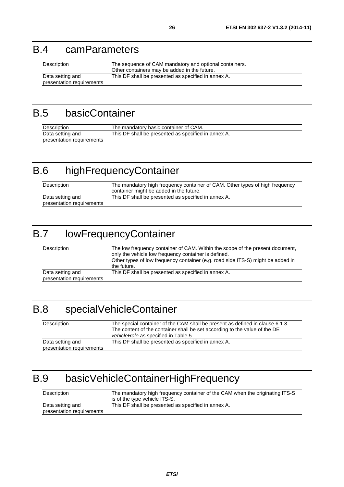### <span id="page-25-0"></span>B.4 camParameters

| Description               | The sequence of CAM mandatory and optional containers. |
|---------------------------|--------------------------------------------------------|
|                           | Other containers may be added in the future.           |
| Data setting and          | This DF shall be presented as specified in annex A.    |
| presentation requirements |                                                        |

## B.5 basicContainer

| Description               | The mandatory basic container of CAM.               |
|---------------------------|-----------------------------------------------------|
| Data setting and          | This DF shall be presented as specified in annex A. |
| presentation requirements |                                                     |

# B.6 highFrequencyContainer

| Description               | The mandatory high frequency container of CAM. Other types of high frequency<br>container might be added in the future. |
|---------------------------|-------------------------------------------------------------------------------------------------------------------------|
| Data setting and          | This DF shall be presented as specified in annex A.                                                                     |
| presentation requirements |                                                                                                                         |

## B.7 lowFrequencyContainer

| Description               | The low frequency container of CAM. Within the scope of the present document,<br>only the vehicle low frequency container is defined.<br>Other types of low frequency container (e.g. road side ITS-S) might be added in<br>the future. |
|---------------------------|-----------------------------------------------------------------------------------------------------------------------------------------------------------------------------------------------------------------------------------------|
| Data setting and          | This DF shall be presented as specified in annex A.                                                                                                                                                                                     |
| presentation requirements |                                                                                                                                                                                                                                         |

## B.8 specialVehicleContainer

| Description               | The special container of the CAM shall be present as defined in clause 6.1.3.<br>The content of the container shall be set according to the value of the DE<br>vehicleRole as specified in Table 5. |
|---------------------------|-----------------------------------------------------------------------------------------------------------------------------------------------------------------------------------------------------|
| Data setting and          | This DF shall be presented as specified in annex A.                                                                                                                                                 |
| presentation requirements |                                                                                                                                                                                                     |

# B.9 basicVehicleContainerHighFrequency

| Description                                   | The mandatory high frequency container of the CAM when the originating ITS-S<br>is of the type vehicle ITS-S. |
|-----------------------------------------------|---------------------------------------------------------------------------------------------------------------|
| Data setting and<br>presentation requirements | This DF shall be presented as specified in annex A.                                                           |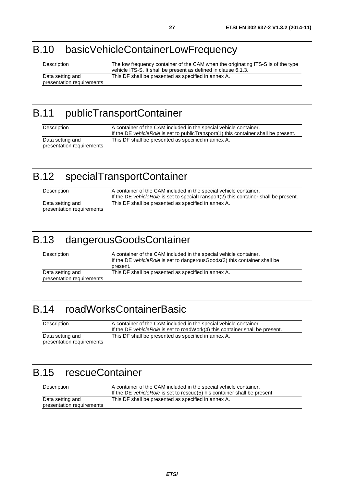## <span id="page-26-0"></span>B.10 basicVehicleContainerLowFrequency

| Description               | The low frequency container of the CAM when the originating ITS-S is of the type<br>vehicle ITS-S. It shall be present as defined in clause 6.1.3. |
|---------------------------|----------------------------------------------------------------------------------------------------------------------------------------------------|
| Data setting and          | This DF shall be presented as specified in annex A.                                                                                                |
| presentation requirements |                                                                                                                                                    |

## B.11 publicTransportContainer

| Description                                   | A container of the CAM included in the special vehicle container.<br>If the DE vehicle Role is set to public Transport $(1)$ this container shall be present. |
|-----------------------------------------------|---------------------------------------------------------------------------------------------------------------------------------------------------------------|
| Data setting and<br>presentation requirements | This DF shall be presented as specified in annex A.                                                                                                           |

# B.12 specialTransportContainer

| Description               | A container of the CAM included in the special vehicle container.<br>If the DE vehicleRole is set to specialTransport(2) this container shall be present. |
|---------------------------|-----------------------------------------------------------------------------------------------------------------------------------------------------------|
| Data setting and          | This DF shall be presented as specified in annex A.                                                                                                       |
| presentation requirements |                                                                                                                                                           |

## B.13 dangerousGoodsContainer

| Description                                   | A container of the CAM included in the special vehicle container.<br>If the DE vehicleRole is set to dangerous Goods(3) this container shall be<br>Ipresent. |
|-----------------------------------------------|--------------------------------------------------------------------------------------------------------------------------------------------------------------|
| Data setting and<br>presentation requirements | This DF shall be presented as specified in annex A.                                                                                                          |

## B.14 roadWorksContainerBasic

| Description                                   | A container of the CAM included in the special vehicle container.<br>If the DE vehicle Role is set to road Work(4) this container shall be present. |
|-----------------------------------------------|-----------------------------------------------------------------------------------------------------------------------------------------------------|
| Data setting and<br>presentation requirements | This DF shall be presented as specified in annex A.                                                                                                 |

# B.15 rescueContainer

| Description                                   | A container of the CAM included in the special vehicle container.<br>If the DE vehicle Role is set to rescue(5) his container shall be present. |
|-----------------------------------------------|-------------------------------------------------------------------------------------------------------------------------------------------------|
| Data setting and<br>presentation requirements | This DF shall be presented as specified in annex A.                                                                                             |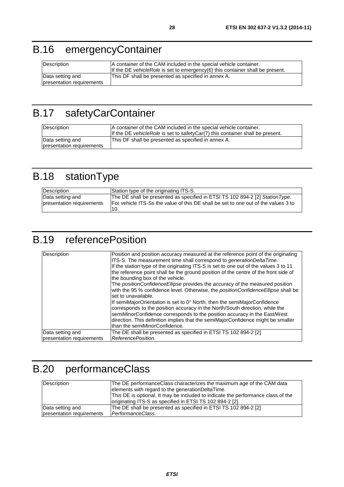# <span id="page-27-0"></span>B.16 emergencyContainer

| Description                                   | A container of the CAM included in the special vehicle container.<br>If the DE vehicleRole is set to emergency(6) this container shall be present. |
|-----------------------------------------------|----------------------------------------------------------------------------------------------------------------------------------------------------|
| Data setting and<br>presentation requirements | This DF shall be presented as specified in annex A.                                                                                                |

# B.17 safetyCarContainer

| Description                                   | A container of the CAM included in the special vehicle container.<br>If the DE vehicle Role is set to safety $Car(7)$ this container shall be present. |
|-----------------------------------------------|--------------------------------------------------------------------------------------------------------------------------------------------------------|
| Data setting and<br>presentation requirements | This DF shall be presented as specified in annex A.                                                                                                    |

# B.18 stationType

| <b>Description</b>                            | Station type of the originating ITS-S.                                                                                                                                             |
|-----------------------------------------------|------------------------------------------------------------------------------------------------------------------------------------------------------------------------------------|
| Data setting and<br>presentation requirements | The DE shall be presented as specified in ETSI TS 102 894-2 [2] Station Type.<br><b>For vehicle ITS-Ss the value of this DE shall be set to one out of the values 3 to</b><br>-10. |

## B.19 referencePosition

| Description                                   | Position and position accuracy measured at the reference point of the originating<br>ITS-S. The measurement time shall correspond to <i>generationDeltaTime</i> .<br>If the station type of the originating ITS-S is set to one out of the values 3 to 11<br>the reference point shall be the ground position of the centre of the front side of<br>the bounding box of the vehicle.<br>The position Confidence Ellipse provides the accuracy of the measured position<br>with the 95 % confidence level. Otherwise, the positionConfidenceEllipse shall be<br>set to unavailable.<br>If semiMajorOrientation is set to 0° North, then the semiMajorConfidence |
|-----------------------------------------------|----------------------------------------------------------------------------------------------------------------------------------------------------------------------------------------------------------------------------------------------------------------------------------------------------------------------------------------------------------------------------------------------------------------------------------------------------------------------------------------------------------------------------------------------------------------------------------------------------------------------------------------------------------------|
|                                               | corresponds to the position accuracy in the North/South direction, while the<br>semiMinorConfidence corresponds to the position accuracy in the East/West<br>direction. This definition implies that the semiMajorConfidence might be smaller<br>lthan the semiMinorConfidence.                                                                                                                                                                                                                                                                                                                                                                                |
| Data setting and<br>presentation requirements | The DE shall be presented as specified in ETSI TS 102 894-2 [2]<br>ReferencePosition.                                                                                                                                                                                                                                                                                                                                                                                                                                                                                                                                                                          |

# B.20 performanceClass

| Description               | The DE performanceClass characterizes the maximum age of the CAM data            |
|---------------------------|----------------------------------------------------------------------------------|
|                           | elements with regard to the generationDeltaTime.                                 |
|                           | This DE is optional. It may be included to indicate the performance class of the |
|                           | originating ITS-S as specified in ETSI TS 102 894-2 [2].                         |
| Data setting and          | The DE shall be presented as specified in ETSI TS 102 894-2 [2]                  |
| presentation requirements | PerformanceClass.                                                                |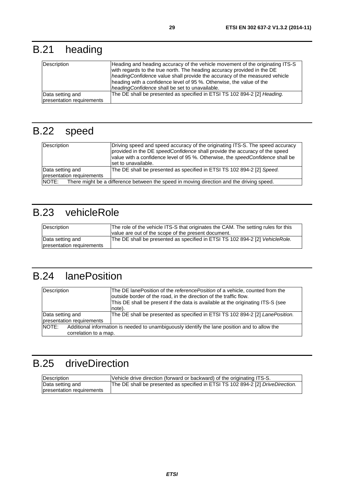# <span id="page-28-0"></span>B.21 heading

| Description                                   | Heading and heading accuracy of the vehicle movement of the originating ITS-S<br>with regards to the true north. The heading accuracy provided in the DE<br>headingConfidence value shall provide the accuracy of the measured vehicle<br>heading with a confidence level of 95 %. Otherwise, the value of the<br>headingConfidence shall be set to unavailable. |
|-----------------------------------------------|------------------------------------------------------------------------------------------------------------------------------------------------------------------------------------------------------------------------------------------------------------------------------------------------------------------------------------------------------------------|
| Data setting and<br>presentation requirements | The DE shall be presented as specified in ETSI TS 102 894-2 [2] Heading.                                                                                                                                                                                                                                                                                         |

## B.22 speed

| Description               | Driving speed and speed accuracy of the originating ITS-S. The speed accuracy<br>provided in the DE speedConfidence shall provide the accuracy of the speed<br>value with a confidence level of 95 %. Otherwise, the speedConfidence shall be<br>set to unavailable. |
|---------------------------|----------------------------------------------------------------------------------------------------------------------------------------------------------------------------------------------------------------------------------------------------------------------|
| Data setting and          | The DE shall be presented as specified in ETSI TS 102 894-2 [2] Speed.                                                                                                                                                                                               |
| presentation requirements |                                                                                                                                                                                                                                                                      |
| NOTE:                     | There might be a difference between the speed in moving direction and the driving speed.                                                                                                                                                                             |

## B.23 vehicleRole

| Description                                   | The role of the vehicle ITS-S that originates the CAM. The setting rules for this<br>value are out of the scope of the present document. |
|-----------------------------------------------|------------------------------------------------------------------------------------------------------------------------------------------|
| Data setting and<br>presentation requirements | The DE shall be presented as specified in ETSI TS 102 894-2 [2] VehicleRole.                                                             |

## B.24 lanePosition

| Description                                                                                            | The DE lanePosition of the <i>referencePosition</i> of a vehicle, counted from the |
|--------------------------------------------------------------------------------------------------------|------------------------------------------------------------------------------------|
|                                                                                                        | outside border of the road, in the direction of the traffic flow.                  |
|                                                                                                        | This DE shall be present if the data is available at the originating ITS-S (see    |
|                                                                                                        | note).                                                                             |
| Data setting and                                                                                       | The DE shall be presented as specified in ETSI TS 102 894-2 [2] LanePosition.      |
| presentation requirements                                                                              |                                                                                    |
| Additional information is needed to unambiguously identify the lane position and to allow the<br>NOTE: |                                                                                    |
| correlation to a map.                                                                                  |                                                                                    |

## B.25 driveDirection

| Description               | Vehicle drive direction (forward or backward) of the originating ITS-S.         |
|---------------------------|---------------------------------------------------------------------------------|
| Data setting and          | The DE shall be presented as specified in ETSI TS 102 894-2 [2] DriveDirection. |
| presentation requirements |                                                                                 |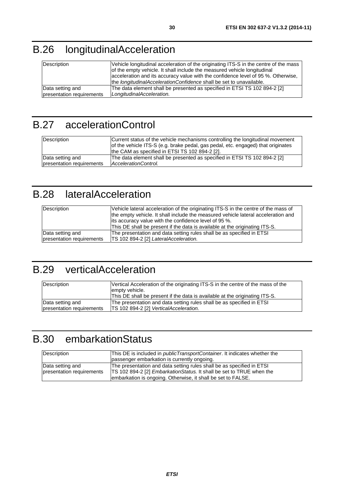# <span id="page-29-0"></span>B.26 longitudinalAcceleration

| Description               | Vehicle longitudinal acceleration of the originating ITS-S in the centre of the mass<br>of the empty vehicle. It shall include the measured vehicle longitudinal<br>acceleration and its accuracy value with the confidence level of 95 %. Otherwise,<br>the <i>longitudinalAccelerationConfidence</i> shall be set to unavailable. |
|---------------------------|-------------------------------------------------------------------------------------------------------------------------------------------------------------------------------------------------------------------------------------------------------------------------------------------------------------------------------------|
| Data setting and          | The data element shall be presented as specified in ETSI TS 102 894-2 [2]                                                                                                                                                                                                                                                           |
| presentation requirements | LongitudinalAcceleration.                                                                                                                                                                                                                                                                                                           |

## B.27 accelerationControl

| Description               | Current status of the vehicle mechanisms controlling the longitudinal movement<br>of the vehicle ITS-S (e.g. brake pedal, gas pedal, etc. engaged) that originates<br>the CAM as specified in ETSI TS 102 894-2 [2]. |
|---------------------------|----------------------------------------------------------------------------------------------------------------------------------------------------------------------------------------------------------------------|
| Data setting and          | The data element shall be presented as specified in ETSI TS 102 894-2 [2]                                                                                                                                            |
| presentation requirements | AccelerationControl.                                                                                                                                                                                                 |

## B.28 lateralAcceleration

| Description               | Vehicle lateral acceleration of the originating ITS-S in the centre of the mass of<br>the empty vehicle. It shall include the measured vehicle lateral acceleration and<br>lits accuracy value with the confidence level of 95 %.<br>This DE shall be present if the data is available at the originating ITS-S. |
|---------------------------|------------------------------------------------------------------------------------------------------------------------------------------------------------------------------------------------------------------------------------------------------------------------------------------------------------------|
| Data setting and          | The presentation and data setting rules shall be as specified in ETSI                                                                                                                                                                                                                                            |
| presentation requirements | [TS 102 894-2 [2] LateralAcceleration.                                                                                                                                                                                                                                                                           |

### B.29 verticalAcceleration

| Description               | Vertical Acceleration of the originating ITS-S in the centre of the mass of the<br>lempty vehicle. |
|---------------------------|----------------------------------------------------------------------------------------------------|
|                           | This DE shall be present if the data is available at the originating ITS-S.                        |
| Data setting and          | The presentation and data setting rules shall be as specified in ETSI                              |
| presentation requirements | [TS 102 894-2 [2] VerticalAcceleration.                                                            |

## B.30 embarkationStatus

| Description               | This DE is included in <i>publicTransportContainer</i> . It indicates whether the |
|---------------------------|-----------------------------------------------------------------------------------|
|                           | passenger embarkation is currently ongoing.                                       |
| Data setting and          | The presentation and data setting rules shall be as specified in ETSI             |
| presentation requirements | TS 102 894-2 [2] <i>EmbarkationStatus</i> . It shall be set to TRUE when the      |
|                           | embarkation is ongoing. Otherwise, it shall be set to FALSE.                      |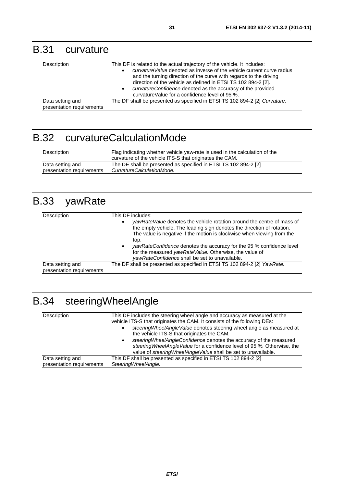### <span id="page-30-0"></span>B.31 curvature

| Description                                   | This DF is related to the actual trajectory of the vehicle. It includes:<br><i>curvature Value</i> denoted as inverse of the vehicle current curve radius<br>and the turning direction of the curve with regards to the driving<br>direction of the vehicle as defined in ETSI TS 102 894-2 [2].<br>curvatureConfidence denoted as the accuracy of the provided<br>curvature Value for a confidence level of 95 %. |
|-----------------------------------------------|--------------------------------------------------------------------------------------------------------------------------------------------------------------------------------------------------------------------------------------------------------------------------------------------------------------------------------------------------------------------------------------------------------------------|
| Data setting and<br>presentation requirements | The DF shall be presented as specified in ETSI TS 102 894-2 [2] Curvature.                                                                                                                                                                                                                                                                                                                                         |

## B.32 curvatureCalculationMode

| Description               | Flag indicating whether vehicle yaw-rate is used in the calculation of the<br>curvature of the vehicle ITS-S that originates the CAM. |
|---------------------------|---------------------------------------------------------------------------------------------------------------------------------------|
| Data setting and          | The DE shall be presented as specified in ETSI TS 102 894-2 [2]                                                                       |
| presentation requirements | CurvatureCalculationMode.                                                                                                             |

# B.33 yawRate

| Description                                   | This DF includes:<br>yawRateValue denotes the vehicle rotation around the centre of mass of<br>the empty vehicle. The leading sign denotes the direction of rotation.<br>The value is negative if the motion is clockwise when viewing from the<br>top.<br>yawRateConfidence denotes the accuracy for the 95 % confidence level<br>$\bullet$<br>for the measured yawRateValue. Otherwise, the value of<br>yawRateConfidence shall be set to unavailable. |
|-----------------------------------------------|----------------------------------------------------------------------------------------------------------------------------------------------------------------------------------------------------------------------------------------------------------------------------------------------------------------------------------------------------------------------------------------------------------------------------------------------------------|
| Data setting and<br>presentation requirements | The DF shall be presented as specified in ETSI TS 102 894-2 [2] YawRate.                                                                                                                                                                                                                                                                                                                                                                                 |

# B.34 steeringWheelAngle

| Description               | This DF includes the steering wheel angle and accuracy as measured at the<br>vehicle ITS-S that originates the CAM. It consists of the following DEs:<br>steering Wheel Angle Value denotes steering wheel angle as measured at<br>the vehicle ITS-S that originates the CAM.<br>steering Wheel Angle Confidence denotes the accuracy of the measured<br>steering Wheel Angle Value for a confidence level of 95 %. Otherwise, the<br>value of steering Wheel Angle Value shall be set to unavailable. |
|---------------------------|--------------------------------------------------------------------------------------------------------------------------------------------------------------------------------------------------------------------------------------------------------------------------------------------------------------------------------------------------------------------------------------------------------------------------------------------------------------------------------------------------------|
| Data setting and          | This DF shall be presented as specified in ETSI TS 102 894-2 [2]                                                                                                                                                                                                                                                                                                                                                                                                                                       |
| presentation requirements | SteeringWheelAngle.                                                                                                                                                                                                                                                                                                                                                                                                                                                                                    |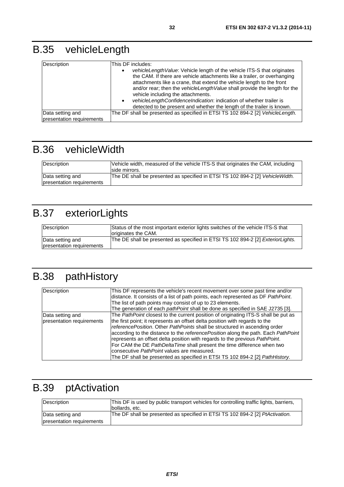# <span id="page-31-0"></span>B.35 vehicleLength

| Description                                   | This DF includes:<br>vehicleLength Value: Vehicle length of the vehicle ITS-S that originates<br>the CAM. If there are vehicle attachments like a trailer, or overhanging<br>attachments like a crane, that extend the vehicle length to the front<br>and/or rear; then the vehicleLengthValue shall provide the length for the<br>vehicle including the attachments.<br>vehicleLengthConfidenceIndication: indication of whether trailer is<br>$\bullet$<br>detected to be present and whether the length of the trailer is known. |
|-----------------------------------------------|-------------------------------------------------------------------------------------------------------------------------------------------------------------------------------------------------------------------------------------------------------------------------------------------------------------------------------------------------------------------------------------------------------------------------------------------------------------------------------------------------------------------------------------|
| Data setting and<br>presentation requirements | The DF shall be presented as specified in ETSI TS 102 894-2 [2] VehicleLength.                                                                                                                                                                                                                                                                                                                                                                                                                                                      |

## B.36 vehicleWidth

| Description                                   | Vehicle width, measured of the vehicle ITS-S that originates the CAM, including<br>side mirrors. |
|-----------------------------------------------|--------------------------------------------------------------------------------------------------|
| Data setting and<br>presentation requirements | The DE shall be presented as specified in ETSI TS 102 894-2 [2] VehicleWidth.                    |

# B.37 exteriorLights

| Description                                   | Status of the most important exterior lights switches of the vehicle ITS-S that<br>originates the CAM. |
|-----------------------------------------------|--------------------------------------------------------------------------------------------------------|
| Data setting and<br>presentation requirements | The DE shall be presented as specified in ETSI TS 102 894-2 [2] Exterior Lights.                       |

# B.38 pathHistory

| Description                                   | This DF represents the vehicle's recent movement over some past time and/or<br>distance. It consists of a list of path points, each represented as DF PathPoint.<br>The list of path points may consist of up to 23 elements.<br>The generation of each <i>pathPoint</i> shall be done as specified in SAE J2735 [3].                                                                                                                                                                                                                                                                                                              |
|-----------------------------------------------|------------------------------------------------------------------------------------------------------------------------------------------------------------------------------------------------------------------------------------------------------------------------------------------------------------------------------------------------------------------------------------------------------------------------------------------------------------------------------------------------------------------------------------------------------------------------------------------------------------------------------------|
| Data setting and<br>presentation requirements | The PathPoint closest to the current position of originating ITS-S shall be put as<br>the first point; it represents an offset delta position with regards to the<br>reference Position. Other Path Points shall be structured in ascending order<br>according to the distance to the reference Position along the path. Each Path Point<br>represents an offset delta position with regards to the previous PathPoint.<br>For CAM the DE PathDelta Time shall present the time difference when two<br>Iconsecutive PathPoint values are measured.<br>The DF shall be presented as specified in ETSI TS 102 894-2 [2] PathHistory. |

# B.39 ptActivation

| <b>Description</b>        | This DF is used by public transport vehicles for controlling traffic lights, barriers,<br>bollards, etc. |
|---------------------------|----------------------------------------------------------------------------------------------------------|
| Data setting and          | The DF shall be presented as specified in ETSI TS 102 894-2 [2] PtActivation.                            |
| presentation requirements |                                                                                                          |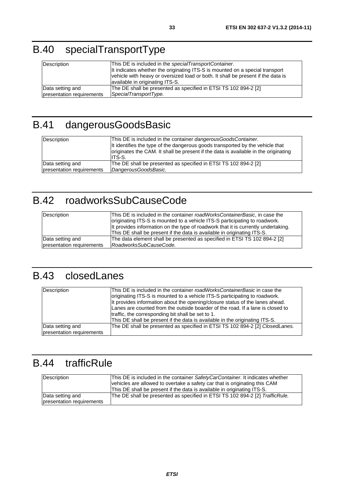# <span id="page-32-0"></span>B.40 specialTransportType

| Description               | This DE is included in the specialTransportContainer.<br>It indicates whether the originating ITS-S is mounted on a special transport<br>vehicle with heavy or oversized load or both. It shall be present if the data is<br>available in originating ITS-S. |
|---------------------------|--------------------------------------------------------------------------------------------------------------------------------------------------------------------------------------------------------------------------------------------------------------|
| Data setting and          | The DE shall be presented as specified in ETSI TS 102 894-2 [2]                                                                                                                                                                                              |
| presentation requirements | SpecialTransportType.                                                                                                                                                                                                                                        |

# B.41 dangerousGoodsBasic

| Description               | This DE is included in the container dangerous Goods Container.<br>It identifies the type of the dangerous goods transported by the vehicle that<br>originates the CAM. It shall be present if the data is available in the originating<br>IITS-S. |
|---------------------------|----------------------------------------------------------------------------------------------------------------------------------------------------------------------------------------------------------------------------------------------------|
| Data setting and          | The DE shall be presented as specified in ETSI TS 102 894-2 [2]                                                                                                                                                                                    |
| presentation requirements | DangerousGoodsBasic.                                                                                                                                                                                                                               |

# B.42 roadworksSubCauseCode

| Description               | This DE is included in the container <i>roadWorksContainerBasic</i> , in case the<br>originating ITS-S is mounted to a vehicle ITS-S participating to roadwork.<br>It provides information on the type of roadwork that it is currently undertaking.<br>This DE shall be present if the data is available in originating ITS-S. |
|---------------------------|---------------------------------------------------------------------------------------------------------------------------------------------------------------------------------------------------------------------------------------------------------------------------------------------------------------------------------|
| Data setting and          | The data element shall be presented as specified in ETSI TS 102 894-2 [2]                                                                                                                                                                                                                                                       |
| presentation requirements | RoadworksSubCauseCode.                                                                                                                                                                                                                                                                                                          |

## B.43 closedLanes

| Description                                   | This DE is included in the container roadWorksContainerBasic in case the<br>originating ITS-S is mounted to a vehicle ITS-S participating to roadwork.<br>It provides information about the opening/closure status of the lanes ahead.<br>Lanes are counted from the outside boarder of the road. If a lane is closed to<br>traffic, the corresponding bit shall be set to 1.<br>This DE shall be present if the data is available in the originating ITS-S. |
|-----------------------------------------------|--------------------------------------------------------------------------------------------------------------------------------------------------------------------------------------------------------------------------------------------------------------------------------------------------------------------------------------------------------------------------------------------------------------------------------------------------------------|
| Data setting and<br>presentation requirements | The DE shall be presented as specified in ETSI TS 102 894-2 [2] ClosedLanes.                                                                                                                                                                                                                                                                                                                                                                                 |

# B.44 trafficRule

| Description                                   | This DE is included in the container SafetyCarContainer. It indicates whether<br>vehicles are allowed to overtake a safety car that is originating this CAM<br>This DE shall be present if the data is available in originating ITS-S. |
|-----------------------------------------------|----------------------------------------------------------------------------------------------------------------------------------------------------------------------------------------------------------------------------------------|
| Data setting and<br>presentation requirements | The DE shall be presented as specified in ETSI TS 102 894-2 [2] TrafficRule.                                                                                                                                                           |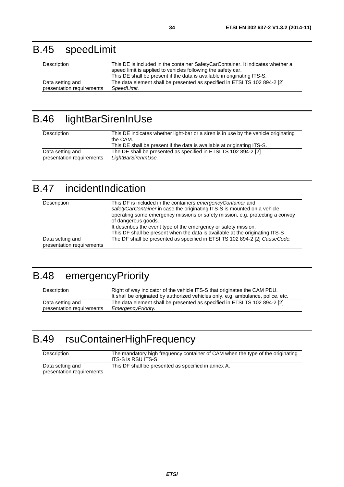<span id="page-33-0"></span>

| Description               | This DE is included in the container SafetyCarContainer. It indicates whether a<br>speed limit is applied to vehicles following the safety car.<br>This DE shall be present if the data is available in originating ITS-S. |
|---------------------------|----------------------------------------------------------------------------------------------------------------------------------------------------------------------------------------------------------------------------|
| Data setting and          | The data element shall be presented as specified in ETSI TS 102 894-2 [2]                                                                                                                                                  |
| presentation requirements | <i>SpeedLimit.</i>                                                                                                                                                                                                         |

# B.46 lightBarSirenInUse

| Description               | This DE indicates whether light-bar or a siren is in use by the vehicle originating<br>Ithe CAM.<br>This DE shall be present if the data is available at originating ITS-S. |
|---------------------------|-----------------------------------------------------------------------------------------------------------------------------------------------------------------------------|
| Data setting and          | The DE shall be presented as specified in ETSI TS 102 894-2 [2]                                                                                                             |
| presentation requirements | LightBarSirenInUse.                                                                                                                                                         |

# B.47 incidentIndication

| Description                                   | This DF is included in the containers emergency Container and<br>safety Car Container in case the originating ITS-S is mounted on a vehicle<br>operating some emergency missions or safety mission, e.g. protecting a convoy<br>of dangerous goods.<br>It describes the event type of the emergency or safety mission.<br>This DF shall be present when the data is available at the originating ITS-S |
|-----------------------------------------------|--------------------------------------------------------------------------------------------------------------------------------------------------------------------------------------------------------------------------------------------------------------------------------------------------------------------------------------------------------------------------------------------------------|
| Data setting and<br>presentation requirements | The DF shall be presented as specified in ETSI TS 102 894-2 [2] CauseCode.                                                                                                                                                                                                                                                                                                                             |

## B.48 emergencyPriority

| Description               | Right of way indicator of the vehicle ITS-S that originates the CAM PDU.<br>It shall be originated by authorized vehicles only, e.g. ambulance, police, etc. |
|---------------------------|--------------------------------------------------------------------------------------------------------------------------------------------------------------|
| Data setting and          | The data element shall be presented as specified in ETSI TS 102 894-2 [2]                                                                                    |
| presentation requirements | EmergencyPriority.                                                                                                                                           |

# B.49 rsuContainerHighFrequency

| Description                                   | The mandatory high frequency container of CAM when the type of the originating<br><b>IITS-S is RSU ITS-S.</b> |
|-----------------------------------------------|---------------------------------------------------------------------------------------------------------------|
| Data setting and<br>presentation requirements | This DF shall be presented as specified in annex A.                                                           |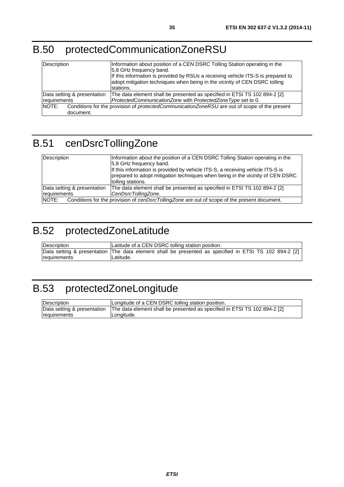# <span id="page-34-0"></span>B.50 protectedCommunicationZoneRSU

| Description                 | Information about position of a CEN DSRC Tolling Station operating in the<br>5.8 GHz frequency band.<br>If this information is provided by RSUs a receiving vehicle ITS-S is prepared to<br>adopt mitigation techniques when being in the vicinity of CEN DSRC tolling<br>stations. |  |  |
|-----------------------------|-------------------------------------------------------------------------------------------------------------------------------------------------------------------------------------------------------------------------------------------------------------------------------------|--|--|
| Data setting & presentation | The data element shall be presented as specified in ETSI TS 102 894-2 [2]                                                                                                                                                                                                           |  |  |
| requirements                | ProtectedCommunicationZone with ProtectedZoneType set to 0.                                                                                                                                                                                                                         |  |  |
| NOTE:                       | Conditions for the provision of <i>protectedCommunicationZoneRSU</i> are out of scope of the present                                                                                                                                                                                |  |  |
| document.                   |                                                                                                                                                                                                                                                                                     |  |  |

# B.51 cenDsrcTollingZone

| Description                                                                                           | Information about the position of a CEN DSRC Tolling Station operating in the<br>5.8 GHz frequency band.<br>If this information is provided by vehicle ITS-S, a receiving vehicle ITS-S is<br>prepared to adopt mitigation techniques when being in the vicinity of CEN DSRC<br>tolling stations. |  |
|-------------------------------------------------------------------------------------------------------|---------------------------------------------------------------------------------------------------------------------------------------------------------------------------------------------------------------------------------------------------------------------------------------------------|--|
| Data setting & presentation<br>requirements                                                           | The data element shall be presented as specified in ETSI TS 102 894-2 [2]<br>CenDsrcTollingZone.                                                                                                                                                                                                  |  |
| Conditions for the provision of cenDsrcTollingZone are out of scope of the present document.<br>NOTE: |                                                                                                                                                                                                                                                                                                   |  |

# B.52 protectedZoneLatitude

| <b>Description</b> | Latitude of a CEN DSRC tolling station position.                                                       |  |  |
|--------------------|--------------------------------------------------------------------------------------------------------|--|--|
|                    | Data setting & presentation  The data element shall be presented as specified in ETSI TS 102 894-2 [2] |  |  |
| requirements       | Latitude.                                                                                              |  |  |

# B.53 protectedZoneLongitude

| <b>Description</b> | Longitude of a CEN DSRC tolling station position.                                                       |
|--------------------|---------------------------------------------------------------------------------------------------------|
|                    | Data setting & presentation   The data element shall be presented as specified in ETSI TS 102 894-2 [2] |
| Ireauirements      | ILonaitude.                                                                                             |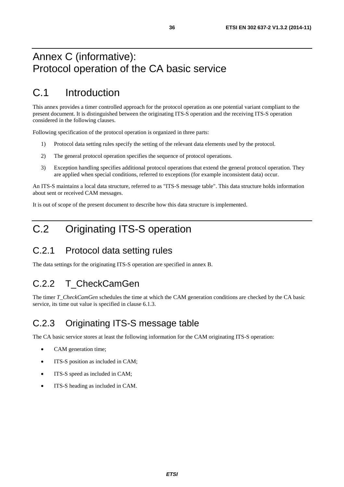### <span id="page-35-0"></span>Annex C (informative): Protocol operation of the CA basic service

## C.1 Introduction

This annex provides a timer controlled approach for the protocol operation as one potential variant compliant to the present document. It is distinguished between the originating ITS-S operation and the receiving ITS-S operation considered in the following clauses.

Following specification of the protocol operation is organized in three parts:

- 1) Protocol data setting rules specify the setting of the relevant data elements used by the protocol.
- 2) The general protocol operation specifies the sequence of protocol operations.
- 3) Exception handling specifies additional protocol operations that extend the general protocol operation. They are applied when special conditions, referred to exceptions (for example inconsistent data) occur.

An ITS-S maintains a local data structure, referred to as "ITS-S message table". This data structure holds information about sent or received CAM messages.

It is out of scope of the present document to describe how this data structure is implemented.

### C.2 Originating ITS-S operation

#### C.2.1 Protocol data setting rules

The data settings for the originating ITS-S operation are specified in annex B.

#### C.2.2 T\_CheckCamGen

The timer *T\_CheckCamGen* schedules the time at which the CAM generation conditions are checked by the CA basic service, its time out value is specified in clause 6.1.3.

### C.2.3 Originating ITS-S message table

The CA basic service stores at least the following information for the CAM originating ITS-S operation:

- CAM generation time;
- ITS-S position as included in CAM;
- ITS-S speed as included in CAM;
- ITS-S heading as included in CAM.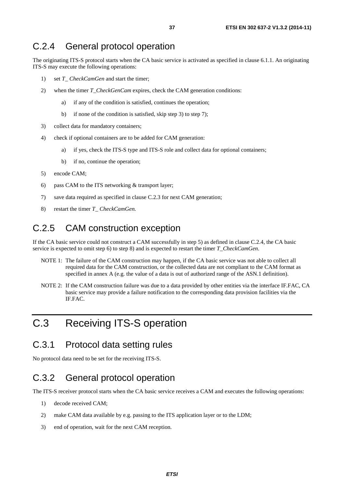#### <span id="page-36-0"></span>C.2.4 General protocol operation

The originating ITS-S protocol starts when the CA basic service is activated as specified in clause 6.1.1. An originating ITS-S may execute the following operations:

- 1) set *T\_ CheckCamGen* and start the timer;
- 2) when the timer *T\_CheckGenCam* expires, check the CAM generation conditions:
	- a) if any of the condition is satisfied, continues the operation;
	- b) if none of the condition is satisfied, skip step 3) to step 7);
- 3) collect data for mandatory containers;
- 4) check if optional containers are to be added for CAM generation:
	- a) if yes, check the ITS-S type and ITS-S role and collect data for optional containers;
	- b) if no, continue the operation;
- 5) encode CAM;
- 6) pass CAM to the ITS networking & transport layer;
- 7) save data required as specified in clause C.2.3 for next CAM generation;
- 8) restart the timer *T\_ CheckCamGen.*

### C.2.5 CAM construction exception

If the CA basic service could not construct a CAM successfully in step 5) as defined in clause C.2.4, the CA basic service is expected to omit step 6) to step 8) and is expected to restart the timer *T\_CheckCamGen*.

- NOTE 1: The failure of the CAM construction may happen, if the CA basic service was not able to collect all required data for the CAM construction, or the collected data are not compliant to the CAM format as specified in annex A (e.g. the value of a data is out of authorized range of the ASN.1 definition).
- NOTE 2: If the CAM construction failure was due to a data provided by other entities via the interface IF.FAC, CA basic service may provide a failure notification to the corresponding data provision facilities via the IF.FAC.

### C.3 Receiving ITS-S operation

#### C.3.1 Protocol data setting rules

No protocol data need to be set for the receiving ITS-S.

#### C.3.2 General protocol operation

The ITS-S receiver protocol starts when the CA basic service receives a CAM and executes the following operations:

- 1) decode received CAM;
- 2) make CAM data available by e.g. passing to the ITS application layer or to the LDM;
- 3) end of operation, wait for the next CAM reception.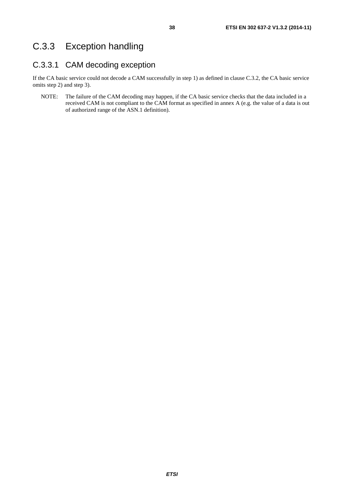#### <span id="page-37-0"></span>C.3.3.1 CAM decoding exception

If the CA basic service could not decode a CAM successfully in step 1) as defined in clause C.3.2, the CA basic service omits step 2) and step 3).

NOTE: The failure of the CAM decoding may happen, if the CA basic service checks that the data included in a received CAM is not compliant to the CAM format as specified in annex A (e.g. the value of a data is out of authorized range of the ASN.1 definition).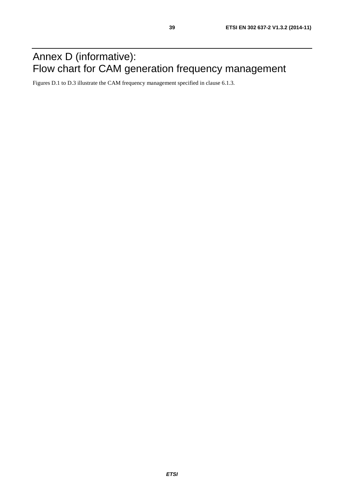## <span id="page-38-0"></span>Annex D (informative): Flow chart for CAM generation frequency management

Figures D.1 to D.3 illustrate the CAM frequency management specified in clause 6.1.3.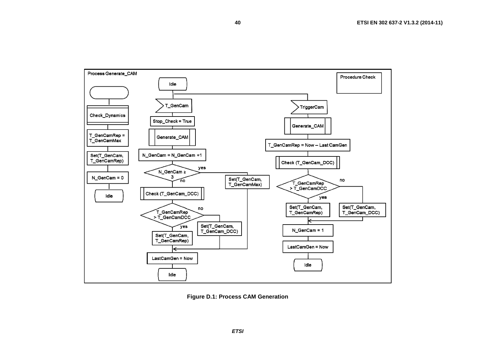

**40**

**Figure D.1: Process CAM Generation**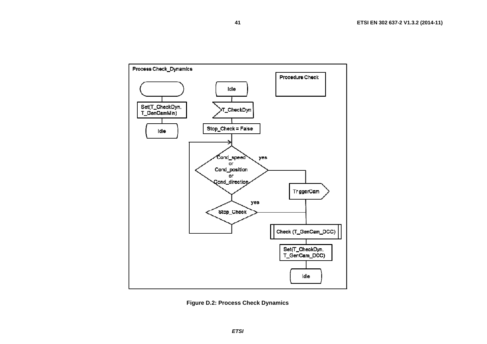



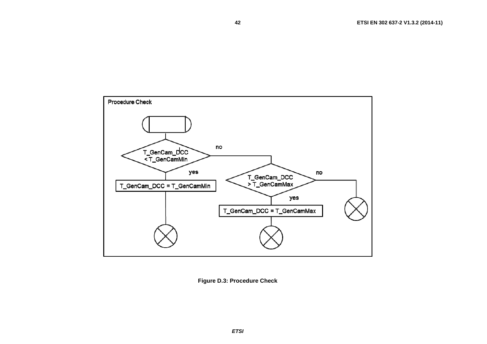

**42**

**Figure D.3: Procedure Check**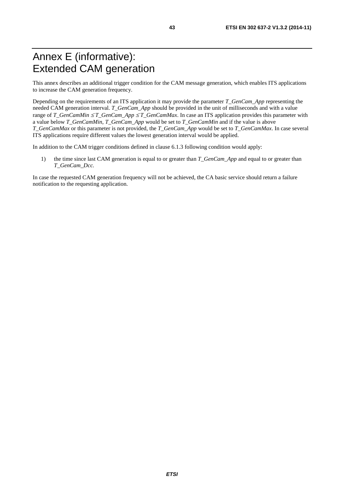### <span id="page-42-0"></span>Annex E (informative): Extended CAM generation

This annex describes an additional trigger condition for the CAM message generation, which enables ITS applications to increase the CAM generation frequency.

Depending on the requirements of an ITS application it may provide the parameter *T\_GenCam\_App* representing the needed CAM generation interval. *T\_GenCam\_App* should be provided in the unit of milliseconds and with a value range of *T\_GenCamMin* ≤ *T\_GenCam\_App* ≤ *T\_GenCamMax*. In case an ITS application provides this parameter with a value below *T\_GenCamMin*, *T\_GenCam\_App* would be set to *T\_GenCamMin* and if the value is above *T\_GenCamMax* or this parameter is not provided, the *T\_GenCam\_App* would be set to *T\_GenCamMax*. In case several ITS applications require different values the lowest generation interval would be applied.

In addition to the CAM trigger conditions defined in clause 6.1.3 following condition would apply:

1) the time since last CAM generation is equal to or greater than *T\_GenCam\_App* and equal to or greater than *T\_GenCam\_Dcc.*

In case the requested CAM generation frequency will not be achieved, the CA basic service should return a failure notification to the requesting application.